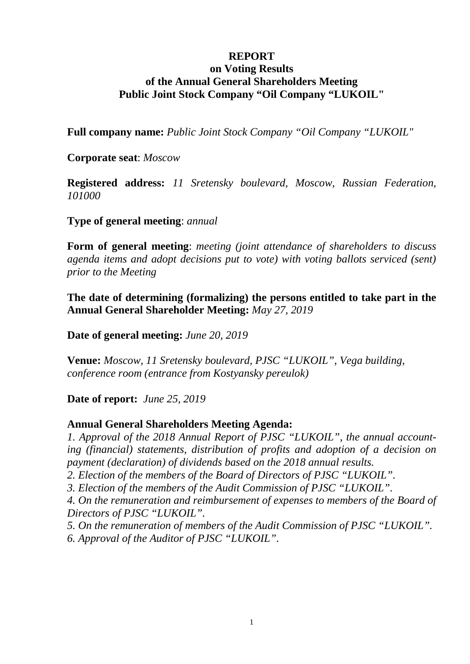## **REPORT**

# **on Voting Results of the Annual General Shareholders Meeting Public Joint Stock Company "Oil Company "LUKOIL"**

**Full company name:** *Public Joint Stock Company "Oil Company "LUKOIL"*

**Corporate seat**: *Moscow*

**Registered address:** *11 Sretensky boulevard, Moscow, Russian Federation, 101000*

**Type of general meeting**: *annual*

**Form of general meeting**: *meeting (joint attendance of shareholders to discuss agenda items and adopt decisions put to vote) with voting ballots serviced (sent) prior to the Meeting*

**The date of determining (formalizing) the persons entitled to take part in the Annual General Shareholder Meeting:** *May 27, 2019*

**Date of general meeting:** *June 20, 2019*

**Venue:** *Moscow, 11 Sretensky boulevard, PJSC "LUKOIL", Vega building, conference room (entrance from Kostyansky pereulok)*

**Date of report:** *June 25, 2019*

#### **Annual General Shareholders Meeting Agenda:**

*1. Approval of the 2018 Annual Report of PJSC "LUKOIL", the annual accounting (financial) statements, distribution of profits and adoption of a decision on payment (declaration) of dividends based on the 2018 annual results.*

*2. Election of the members of the Board of Directors of PJSC "LUKOIL".*

*3. Election of the members of the Audit Commission of PJSC "LUKOIL".*

*4. On the remuneration and reimbursement of expenses to members of the Board of Directors of PJSC "LUKOIL".*

*5. On the remuneration of members of the Audit Commission of PJSC "LUKOIL". 6. Approval of the Auditor of PJSC "LUKOIL".*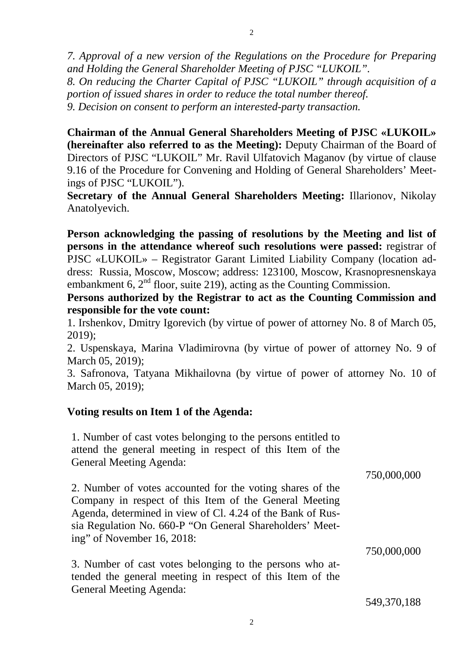*7. Approval of a new version of the Regulations on the Procedure for Preparing and Holding the General Shareholder Meeting of PJSC "LUKOIL". 8. On reducing the Charter Capital of PJSC "LUKOIL" through acquisition of a portion of issued shares in order to reduce the total number thereof. 9. Decision on consent to perform an interested-party transaction.*

**Chairman of the Annual General Shareholders Meeting of PJSC «LUKOIL» (hereinafter also referred to as the Meeting):** Deputy Chairman of the Board of Directors of PJSC "LUKOIL" Mr. Ravil Ulfatovich Maganov (by virtue of clause 9.16 of the Procedure for Convening and Holding of General Shareholders' Meetings of PJSC "LUKOIL").

**Secretary of the Annual General Shareholders Meeting:** Illarionov, Nikolay Anatolyevich.

**Person acknowledging the passing of resolutions by the Meeting and list of persons in the attendance whereof such resolutions were passed:** registrar of PJSC «LUKOIL» – Registrator Garant Limited Liability Company (location address: Russia, Moscow, Moscow; address: 123100, Moscow, Krasnopresnenskaya embankment 6,  $2<sup>nd</sup>$  floor, suite 219), acting as the Counting Commission.

**Persons authorized by the Registrar to act as the Counting Commission and responsible for the vote count:**

1. Irshenkov, Dmitry Igorevich (by virtue of power of attorney No. 8 of March 05, 2019);

2. Uspenskaya, Marina Vladimirovna (by virtue of power of attorney No. 9 of March 05, 2019);

3. Safronova, Tatyana Mikhailovna (by virtue of power of attorney No. 10 of March 05, 2019);

# **Voting results on Item 1 of the Agenda:**

1. Number of cast votes belonging to the persons entitled to attend the general meeting in respect of this Item of the General Meeting Agenda:

2. Number of votes accounted for the voting shares of the Company in respect of this Item of the General Meeting Agenda, determined in view of Cl. 4.24 of the Bank of Russia Regulation No. 660-P "On General Shareholders' Meeting" of November 16, 2018: 750,000,000

3. Number of cast votes belonging to the persons who attended the general meeting in respect of this Item of the General Meeting Agenda:

549,370,188

750,000,000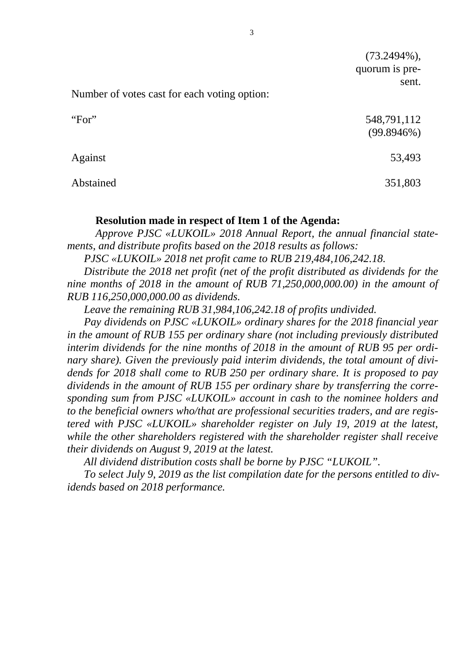Number of votes cast for each voting option:

| "For"     | 548,791,112<br>(99.8946%) |
|-----------|---------------------------|
| Against   | 53,493                    |
| Abstained | 351,803                   |

#### **Resolution made in respect of Item 1 of the Agenda:**

*Approve PJSC «LUKOIL» 2018 Annual Report, the annual financial statements, and distribute profits based on the 2018 results as follows:*

*PJSC «LUKOIL» 2018 net profit came to RUB 219,484,106,242.18.*

*Distribute the 2018 net profit (net of the profit distributed as dividends for the nine months of 2018 in the amount of RUB 71,250,000,000.00) in the amount of RUB 116,250,000,000.00 as dividends.*

*Leave the remaining RUB 31,984,106,242.18 of profits undivided.*

*Pay dividends on PJSC «LUKOIL» ordinary shares for the 2018 financial year in the amount of RUB 155 per ordinary share (not including previously distributed interim dividends for the nine months of 2018 in the amount of RUB 95 per ordinary share). Given the previously paid interim dividends, the total amount of dividends for 2018 shall come to RUB 250 per ordinary share. It is proposed to pay dividends in the amount of RUB 155 per ordinary share by transferring the corresponding sum from PJSC «LUKOIL» account in cash to the nominee holders and to the beneficial owners who/that are professional securities traders, and are registered with PJSC «LUKOIL» shareholder register on July 19, 2019 at the latest, while the other shareholders registered with the shareholder register shall receive their dividends on August 9, 2019 at the latest.*

*All dividend distribution costs shall be borne by PJSC "LUKOIL".*

*To select July 9, 2019 as the list compilation date for the persons entitled to dividends based on 2018 performance.*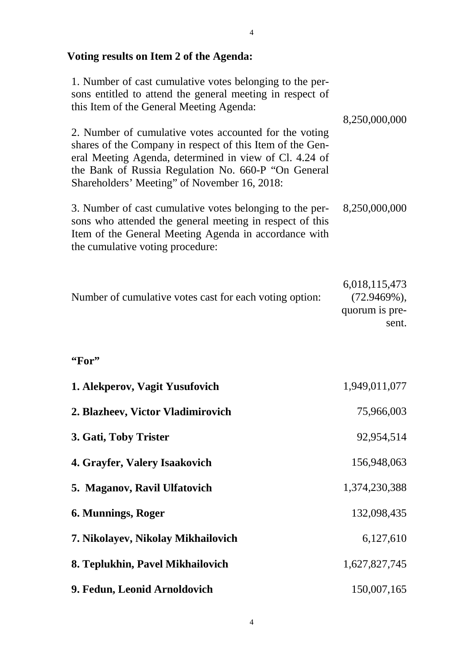# **Voting results on Item 2 of the Agenda:**

| 1. Number of cast cumulative votes belonging to the per-<br>sons entitled to attend the general meeting in respect of<br>this Item of the General Meeting Agenda:                                                                                                                    | 8,250,000,000                                              |
|--------------------------------------------------------------------------------------------------------------------------------------------------------------------------------------------------------------------------------------------------------------------------------------|------------------------------------------------------------|
| 2. Number of cumulative votes accounted for the voting<br>shares of the Company in respect of this Item of the Gen-<br>eral Meeting Agenda, determined in view of Cl. 4.24 of<br>the Bank of Russia Regulation No. 660-P "On General<br>Shareholders' Meeting" of November 16, 2018: |                                                            |
| 3. Number of cast cumulative votes belonging to the per-<br>sons who attended the general meeting in respect of this<br>Item of the General Meeting Agenda in accordance with<br>the cumulative voting procedure:                                                                    | 8,250,000,000                                              |
| Number of cumulative votes cast for each voting option:                                                                                                                                                                                                                              | 6,018,115,473<br>$(72.9469\%),$<br>quorum is pre-<br>sent. |
| "For"                                                                                                                                                                                                                                                                                |                                                            |
| 1. Alekperov, Vagit Yusufovich                                                                                                                                                                                                                                                       | 1,949,011,077                                              |
| 2. Blazheev, Victor Vladimirovich                                                                                                                                                                                                                                                    | 75,966,003                                                 |
| 3. Gati, Toby Trister                                                                                                                                                                                                                                                                | 92,954,514                                                 |
| 4. Grayfer, Valery Isaakovich                                                                                                                                                                                                                                                        | 156,948,063                                                |
| 5. Maganov, Ravil Ulfatovich                                                                                                                                                                                                                                                         | 1,374,230,388                                              |
| 6. Munnings, Roger                                                                                                                                                                                                                                                                   | 132,098,435                                                |
| 7. Nikolayev, Nikolay Mikhailovich                                                                                                                                                                                                                                                   | 6,127,610                                                  |
| 8. Teplukhin, Pavel Mikhailovich                                                                                                                                                                                                                                                     | 1,627,827,745                                              |
| 9. Fedun, Leonid Arnoldovich                                                                                                                                                                                                                                                         | 150,007,165                                                |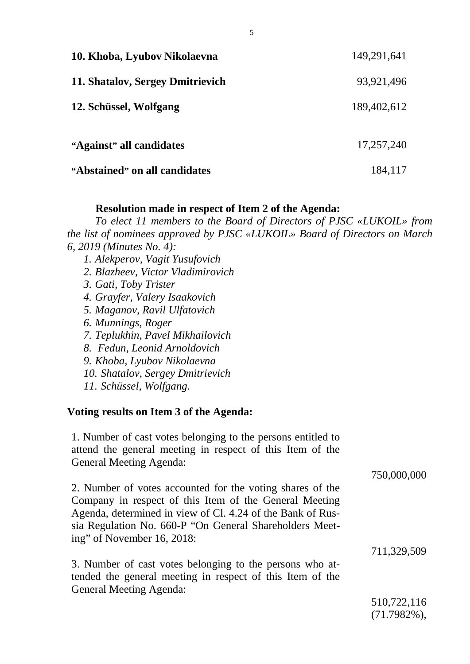| 10. Khoba, Lyubov Nikolaevna     | 149,291,641 |
|----------------------------------|-------------|
| 11. Shatalov, Sergey Dmitrievich | 93,921,496  |
| 12. Schüssel, Wolfgang           | 189,402,612 |
|                                  |             |
| "Against" all candidates         | 17,257,240  |
| "Abstained" on all candidates    | 184,117     |

### **Resolution made in respect of Item 2 of the Agenda:**

*To elect 11 members to the Board of Directors of PJSC «LUKOIL» from the list of nominees approved by PJSC «LUKOIL» Board of Directors on March 6, 2019 (Minutes No. 4):*

- *1. Alekperov, Vagit Yusufovich 2. Blazheev, Victor Vladimirovich 3. Gati, Toby Trister 4. Grayfer, Valery Isaakovich 5. Maganov, Ravil Ulfatovich 6. Munnings, Roger 7. Teplukhin, Pavel Mikhailovich 8. Fedun, Leonid Arnoldovich*
- *9. Khoba, Lyubov Nikolaevna*
- *10. Shatalov, Sergey Dmitrievich*

*11. Schüssel, Wolfgang.*

### **Voting results on Item 3 of the Agenda:**

1. Number of cast votes belonging to the persons entitled to attend the general meeting in respect of this Item of the General Meeting Agenda:

2. Number of votes accounted for the voting shares of the Company in respect of this Item of the General Meeting Agenda, determined in view of Cl. 4.24 of the Bank of Russia Regulation No. 660-P "On General Shareholders Meeting" of November 16, 2018: 750,000,000

3. Number of cast votes belonging to the persons who attended the general meeting in respect of this Item of the General Meeting Agenda:

510,722,116 (71.7982%),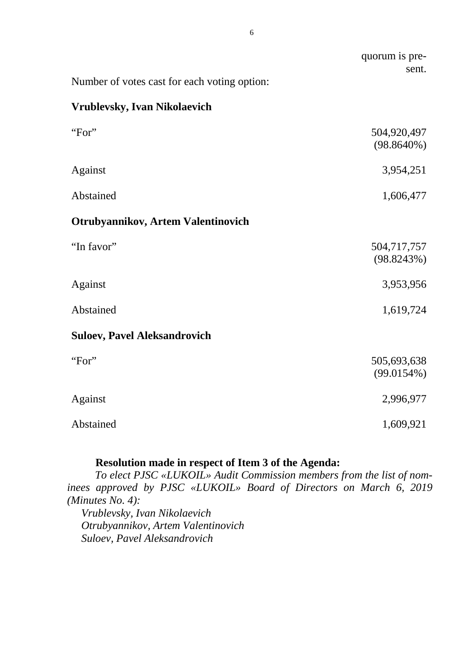|                                              | quorum is pre-<br>sent.      |
|----------------------------------------------|------------------------------|
| Number of votes cast for each voting option: |                              |
| <b>Vrublevsky, Ivan Nikolaevich</b>          |                              |
| "For"                                        | 504,920,497<br>$(98.8640\%)$ |
| Against                                      | 3,954,251                    |
| Abstained                                    | 1,606,477                    |
| <b>Otrubyannikov, Artem Valentinovich</b>    |                              |
| "In favor"                                   | 504,717,757<br>(98.8243%)    |
| Against                                      | 3,953,956                    |
| Abstained                                    | 1,619,724                    |
| <b>Suloev, Pavel Aleksandrovich</b>          |                              |
| "For"                                        | 505,693,638<br>(99.0154%)    |
| Against                                      | 2,996,977                    |
| Abstained                                    | 1,609,921                    |

# **Resolution made in respect of Item 3 of the Agenda:**

*To elect PJSC «LUKOIL» Audit Commission members from the list of nominees approved by PJSC «LUKOIL» Board of Directors on March 6, 2019 (Minutes No. 4):*

*Vrublevsky, Ivan Nikolaevich Otrubyannikov, Artem Valentinovich Suloev, Pavel Aleksandrovich*

6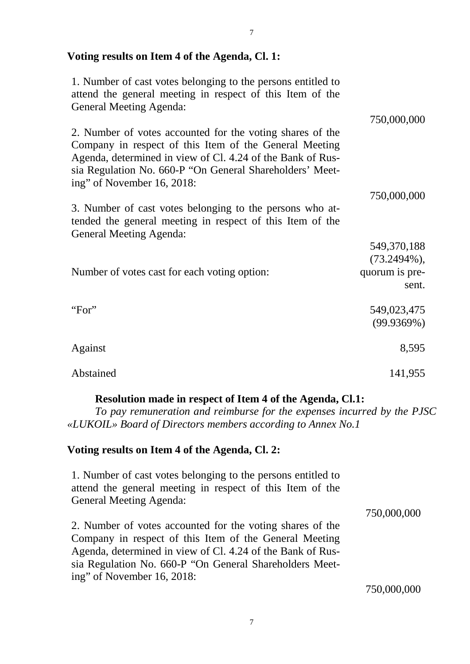# **Voting results on Item 4 of the Agenda, Cl. 1:**

1. Number of cast votes belonging to the persons entitled to attend the general meeting in respect of this Item of the General Meeting Agenda: 2. Number of votes accounted for the voting shares of the Company in respect of this Item of the General Meeting Agenda, determined in view of Cl. 4.24 of the Bank of Russia Regulation No. 660-P "On General Shareholders' Meeting" of November 16, 2018: 3. Number of cast votes belonging to the persons who attended the general meeting in respect of this Item of the General Meeting Agenda: Number of votes cast for each voting option: 750,000,000 750,000,000 549,370,188 (73.2494%), quorum is present. "For" Against Abstained 549,023,475 (99.9369%) 8,595 141,955

### **Resolution made in respect of Item 4 of the Agenda, Cl.1:**

*To pay remuneration and reimburse for the expenses incurred by the PJSC «LUKOIL» Board of Directors members according to Annex No.1* 

### **Voting results on Item 4 of the Agenda, Cl. 2:**

1. Number of cast votes belonging to the persons entitled to attend the general meeting in respect of this Item of the General Meeting Agenda:

2. Number of votes accounted for the voting shares of the Company in respect of this Item of the General Meeting Agenda, determined in view of Cl. 4.24 of the Bank of Russia Regulation No. 660-P "On General Shareholders Meeting" of November 16, 2018: 750,000,000

750,000,000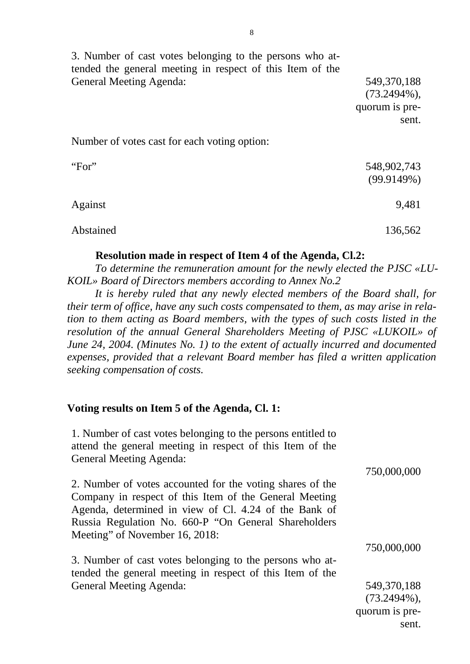| 3. Number of cast votes belonging to the persons who at-<br>tended the general meeting in respect of this Item of the |                                                          |
|-----------------------------------------------------------------------------------------------------------------------|----------------------------------------------------------|
| <b>General Meeting Agenda:</b>                                                                                        | 549,370,188<br>$(73.2494\%),$<br>quorum is pre-<br>sent. |
| Number of votes cast for each voting option:                                                                          |                                                          |
| "For"                                                                                                                 | 548,902,743<br>(99.9149%)                                |
| Against                                                                                                               | 9,481                                                    |
| Abstained                                                                                                             | 136,562                                                  |

### **Resolution made in respect of Item 4 of the Agenda, Cl.2:**

*To determine the remuneration amount for the newly elected the PJSC «LU-KOIL» Board of Directors members according to Annex No.2*

*It is hereby ruled that any newly elected members of the Board shall, for their term of office, have any such costs compensated to them, as may arise in relation to them acting as Board members, with the types of such costs listed in the resolution of the annual General Shareholders Meeting of PJSC «LUKOIL» of June 24, 2004. (Minutes No. 1) to the extent of actually incurred and documented expenses, provided that a relevant Board member has filed a written application seeking compensation of costs.*

#### **Voting results on Item 5 of the Agenda, Cl. 1:**

1. Number of cast votes belonging to the persons entitled to attend the general meeting in respect of this Item of the General Meeting Agenda:

| 2. Number of votes accounted for the voting shares of the |             |
|-----------------------------------------------------------|-------------|
| Company in respect of this Item of the General Meeting    |             |
| Agenda, determined in view of Cl. 4.24 of the Bank of     |             |
| Russia Regulation No. 660-P "On General Shareholders"     |             |
| Meeting" of November 16, 2018:                            |             |
|                                                           | 750,000,000 |
| 3 Number of cast votes belonging to the persons who at    |             |

3. Number of cast votes belonging to the persons who attended the general meeting in respect of this Item of the General Meeting Agenda:

549,370,188 (73.2494%), quorum is present.

750,000,000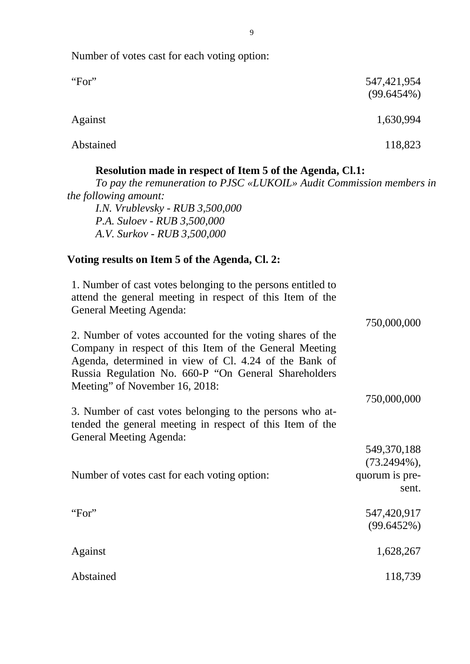| "For"                                                                                                                                                                                                                                                                                                                                                                                                                                                                                             | 547, 421, 954<br>$(99.6454\%)$                           |
|---------------------------------------------------------------------------------------------------------------------------------------------------------------------------------------------------------------------------------------------------------------------------------------------------------------------------------------------------------------------------------------------------------------------------------------------------------------------------------------------------|----------------------------------------------------------|
| Against                                                                                                                                                                                                                                                                                                                                                                                                                                                                                           | 1,630,994                                                |
| Abstained                                                                                                                                                                                                                                                                                                                                                                                                                                                                                         | 118,823                                                  |
| Resolution made in respect of Item 5 of the Agenda, Cl.1:<br>To pay the remuneration to PJSC «LUKOIL» Audit Commission members in<br><i>the following amount:</i><br>I.N. Vrublevsky - $RUB$ 3,500,000<br>P.A. Suloev - RUB 3,500,000<br>A.V. Surkov - RUB 3,500,000                                                                                                                                                                                                                              |                                                          |
| Voting results on Item 5 of the Agenda, Cl. 2:                                                                                                                                                                                                                                                                                                                                                                                                                                                    |                                                          |
| 1. Number of cast votes belonging to the persons entitled to<br>attend the general meeting in respect of this Item of the<br><b>General Meeting Agenda:</b><br>2. Number of votes accounted for the voting shares of the<br>Company in respect of this Item of the General Meeting<br>Agenda, determined in view of Cl. 4.24 of the Bank of<br>Russia Regulation No. 660-P "On General Shareholders<br>Meeting" of November 16, 2018:<br>3. Number of cast votes belonging to the persons who at- | 750,000,000<br>750,000,000                               |
| tended the general meeting in respect of this Item of the<br><b>General Meeting Agenda:</b>                                                                                                                                                                                                                                                                                                                                                                                                       |                                                          |
| Number of votes cast for each voting option:                                                                                                                                                                                                                                                                                                                                                                                                                                                      | 549,370,188<br>$(73.2494\%),$<br>quorum is pre-<br>sent. |
| "For"                                                                                                                                                                                                                                                                                                                                                                                                                                                                                             | 547,420,917<br>(99.6452%)                                |
| Against                                                                                                                                                                                                                                                                                                                                                                                                                                                                                           | 1,628,267                                                |
| Abstained                                                                                                                                                                                                                                                                                                                                                                                                                                                                                         | 118,739                                                  |

Number of votes cast for each voting option:

9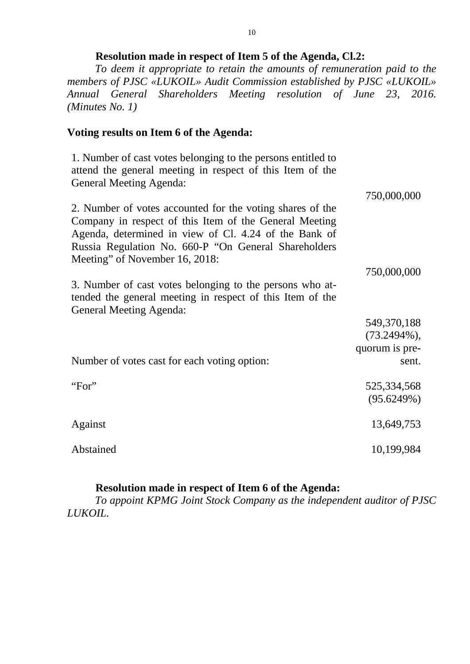### **Resolution made in respect of Item 5 of the Agenda, Cl.2:**

*To deem it appropriate to retain the amounts of remuneration paid to the members of PJSC «LUKOIL» Audit Commission established by PJSC «LUKOIL» Annual General Shareholders Meeting resolution of June 23, 2016. (Minutes No. 1)*

### **Voting results on Item 6 of the Agenda:**

1. Number of cast votes belonging to the persons entitled to attend the general meeting in respect of this Item of the General Meeting Agenda:

2. Number of votes accounted for the voting shares of the Company in respect of this Item of the General Meeting Agenda, determined in view of Cl. 4.24 of the Bank of Russia Regulation No. 660-P "On General Shareholders Meeting" of November 16, 2018: 3. Number of cast votes belonging to the persons who attended the general meeting in respect of this Item of the General Meeting Agenda: 750,000,000 750,000,000

|                                              | 549,370,188                 |
|----------------------------------------------|-----------------------------|
|                                              | $(73.2494\%),$              |
|                                              | quorum is pre-              |
| Number of votes cast for each voting option: | sent.                       |
| "For"                                        | 525, 334, 568<br>(95.6249%) |
| Against                                      | 13,649,753                  |
| Abstained                                    | 10,199,984                  |

### **Resolution made in respect of Item 6 of the Agenda:**

*To appoint KPMG Joint Stock Company as the independent auditor of PJSC LUKOIL.*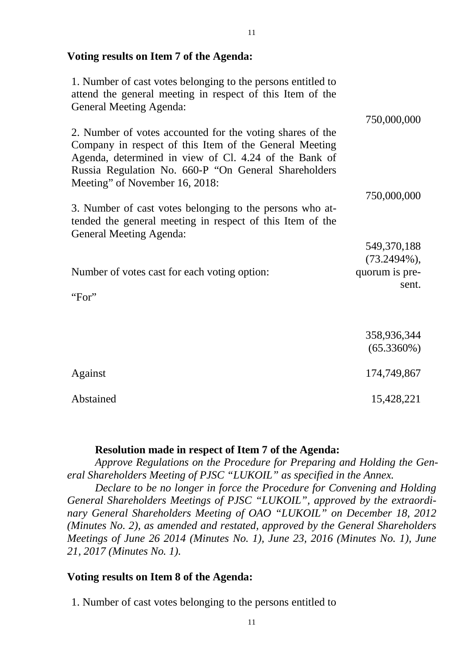### **Voting results on Item 7 of the Agenda:**

1. Number of cast votes belonging to the persons entitled to attend the general meeting in respect of this Item of the General Meeting Agenda: 2. Number of votes accounted for the voting shares of the Company in respect of this Item of the General Meeting Agenda, determined in view of Cl. 4.24 of the Bank of Russia Regulation No. 660-P "On General Shareholders Meeting" of November 16, 2018: 3. Number of cast votes belonging to the persons who attended the general meeting in respect of this Item of the General Meeting Agenda: Number of votes cast for each voting option: "For" 750,000,000 750,000,000 549,370,188 (73.2494%), quorum is present. 358,936,344 (65.3360%) Against Abstained 174,749,867 15,428,221

#### **Resolution made in respect of Item 7 of the Agenda:**

*Approve Regulations on the Procedure for Preparing and Holding the General Shareholders Meeting of PJSC "LUKOIL" as specified in the Annex.*

*Declare to be no longer in force the Procedure for Convening and Holding General Shareholders Meetings of PJSC "LUKOIL", approved by the extraordinary General Shareholders Meeting of OAO "LUKOIL" on December 18, 2012 (Minutes No. 2), as amended and restated, approved by the General Shareholders Meetings of June 26 2014 (Minutes No. 1), June 23, 2016 (Minutes No. 1), June 21, 2017 (Minutes No. 1).*

### **Voting results on Item 8 of the Agenda:**

1. Number of cast votes belonging to the persons entitled to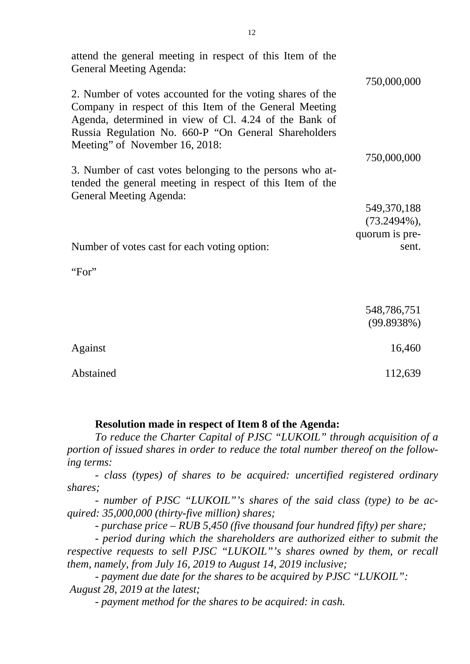| attend the general meeting in respect of this Item of the<br><b>General Meeting Agenda:</b>                                                                                                                                                                            |                |
|------------------------------------------------------------------------------------------------------------------------------------------------------------------------------------------------------------------------------------------------------------------------|----------------|
|                                                                                                                                                                                                                                                                        | 750,000,000    |
| 2. Number of votes accounted for the voting shares of the<br>Company in respect of this Item of the General Meeting<br>Agenda, determined in view of Cl. 4.24 of the Bank of<br>Russia Regulation No. 660-P "On General Shareholders<br>Meeting" of November 16, 2018: |                |
|                                                                                                                                                                                                                                                                        | 750,000,000    |
| 3. Number of cast votes belonging to the persons who at-<br>tended the general meeting in respect of this Item of the<br><b>General Meeting Agenda:</b>                                                                                                                |                |
|                                                                                                                                                                                                                                                                        | 549,370,188    |
|                                                                                                                                                                                                                                                                        | $(73.2494\%),$ |
|                                                                                                                                                                                                                                                                        | quorum is pre- |
| Number of votes cast for each voting option:                                                                                                                                                                                                                           | sent.          |
| "For"                                                                                                                                                                                                                                                                  |                |
|                                                                                                                                                                                                                                                                        | 548,786,751    |
|                                                                                                                                                                                                                                                                        | (99.8938%)     |
| Against                                                                                                                                                                                                                                                                | 16,460         |
| Abstained                                                                                                                                                                                                                                                              | 112,639        |

#### **Resolution made in respect of Item 8 of the Agenda:**

*To reduce the Charter Capital of PJSC "LUKOIL" through acquisition of a portion of issued shares in order to reduce the total number thereof on the following terms:*

*- class (types) of shares to be acquired: uncertified registered ordinary shares;*

*- number of PJSC "LUKOIL"'s shares of the said class (type) to be acquired: 35,000,000 (thirty-five million) shares;*

*- purchase price – RUB 5,450 (five thousand four hundred fifty) per share;*

*- period during which the shareholders are authorized either to submit the respective requests to sell PJSC "LUKOIL"'s shares owned by them, or recall them, namely, from July 16, 2019 to August 14, 2019 inclusive;*

*- payment due date for the shares to be acquired by PJSC "LUKOIL": August 28, 2019 at the latest;*

*- payment method for the shares to be acquired: in cash.*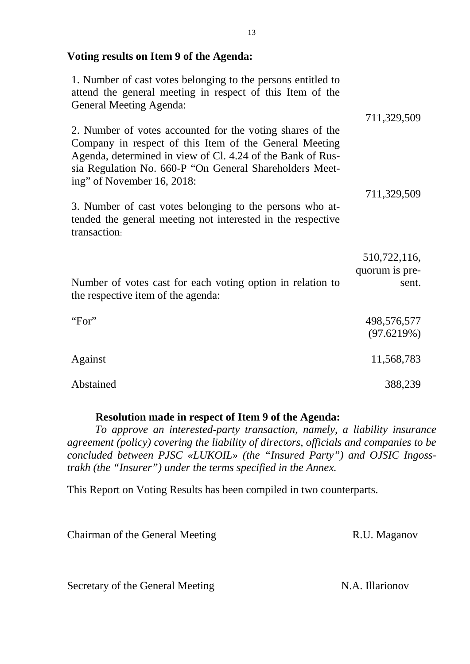### **Voting results on Item 9 of the Agenda:**

| 1. Number of cast votes belonging to the persons entitled to<br>attend the general meeting in respect of this Item of the<br><b>General Meeting Agenda:</b>                                                                                                                |                                |
|----------------------------------------------------------------------------------------------------------------------------------------------------------------------------------------------------------------------------------------------------------------------------|--------------------------------|
|                                                                                                                                                                                                                                                                            | 711,329,509                    |
| 2. Number of votes accounted for the voting shares of the<br>Company in respect of this Item of the General Meeting<br>Agenda, determined in view of Cl. 4.24 of the Bank of Rus-<br>sia Regulation No. 660-P "On General Shareholders Meet-<br>ing" of November 16, 2018: |                                |
|                                                                                                                                                                                                                                                                            | 711,329,509                    |
| 3. Number of cast votes belonging to the persons who at-<br>tended the general meeting not interested in the respective<br>transaction:                                                                                                                                    |                                |
|                                                                                                                                                                                                                                                                            | 510,722,116,<br>quorum is pre- |
| Number of votes cast for each voting option in relation to<br>the respective item of the agenda:                                                                                                                                                                           | sent.                          |
| "For"                                                                                                                                                                                                                                                                      |                                |
|                                                                                                                                                                                                                                                                            | 498,576,577<br>(97.6219%)      |
| Against                                                                                                                                                                                                                                                                    | 11,568,783                     |
| Abstained                                                                                                                                                                                                                                                                  | 388,239                        |

### **Resolution made in respect of Item 9 of the Agenda:**

*To approve an interested-party transaction, namely, a liability insurance agreement (policy) covering the liability of directors, officials and companies to be concluded between PJSC «LUKOIL» (the "Insured Party") and OJSIC Ingosstrakh (the "Insurer") under the terms specified in the Annex.*

This Report on Voting Results has been compiled in two counterparts.

| Chairman of the General Meeting  | R.U. Maganov    |
|----------------------------------|-----------------|
|                                  |                 |
| Secretary of the General Meeting | N.A. Illarionov |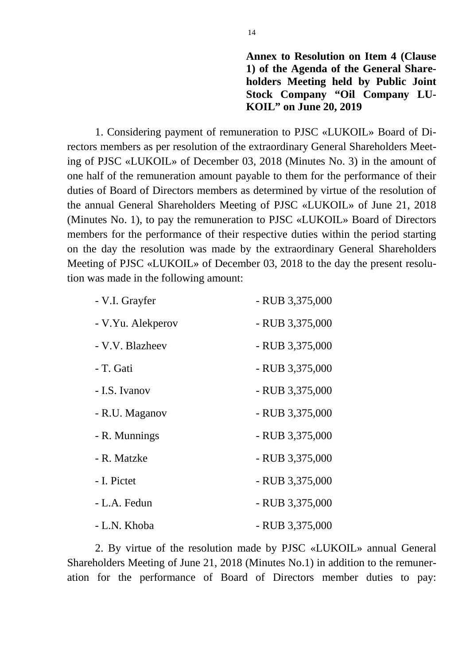**Annex to Resolution on Item 4 (Clause 1) of the Agenda of the General Shareholders Meeting held by Public Joint Stock Company "Oil Company LU-KOIL" on June 20, 2019** 

1. Considering payment of remuneration to PJSC «LUKOIL» Board of Directors members as per resolution of the extraordinary General Shareholders Meeting of PJSC «LUKOIL» of December 03, 2018 (Minutes No. 3) in the amount of one half of the remuneration amount payable to them for the performance of their duties of Board of Directors members as determined by virtue of the resolution of the annual General Shareholders Meeting of PJSC «LUKOIL» of June 21, 2018 (Minutes No. 1), to pay the remuneration to PJSC «LUKOIL» Board of Directors members for the performance of their respective duties within the period starting on the day the resolution was made by the extraordinary General Shareholders Meeting of PJSC «LUKOIL» of December 03, 2018 to the day the present resolution was made in the following amount:

| - V.I. Grayfer    | - RUB 3,375,000 |
|-------------------|-----------------|
| - V.Yu. Alekperov | - RUB 3,375,000 |
| - V.V. Blazheev   | - RUB 3,375,000 |
| - T. Gati         | - RUB 3,375,000 |
| - I.S. Ivanov     | - RUB 3,375,000 |
| - R.U. Maganov    | - RUB 3,375,000 |
| - R. Munnings     | - RUB 3,375,000 |
| - R. Matzke       | - RUB 3,375,000 |
| - I. Pictet       | - RUB 3,375,000 |
| - L.A. Fedun      | - RUB 3,375,000 |
| - L.N. Khoba      | - RUB 3,375,000 |

2. By virtue of the resolution made by PJSC «LUKOIL» annual General Shareholders Meeting of June 21, 2018 (Minutes No.1) in addition to the remuneration for the performance of Board of Directors member duties to pay: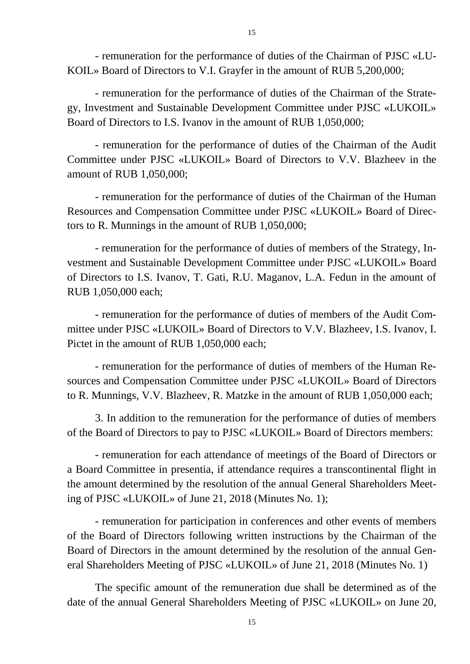- remuneration for the performance of duties of the Chairman of PJSC «LU-KOIL» Board of Directors to V.I. Grayfer in the amount of RUB 5,200,000;

- remuneration for the performance of duties of the Chairman of the Strategy, Investment and Sustainable Development Committee under PJSC «LUKOIL» Board of Directors to I.S. Ivanov in the amount of RUB 1,050,000;

- remuneration for the performance of duties of the Chairman of the Audit Committee under PJSC «LUKOIL» Board of Directors to V.V. Blazheev in the amount of RUB 1,050,000;

- remuneration for the performance of duties of the Chairman of the Human Resources and Compensation Committee under PJSC «LUKOIL» Board of Directors to R. Munnings in the amount of RUB 1,050,000;

- remuneration for the performance of duties of members of the Strategy, Investment and Sustainable Development Committee under PJSC «LUKOIL» Board of Directors to I.S. Ivanov, T. Gati, R.U. Maganov, L.A. Fedun in the amount of RUB 1,050,000 each;

- remuneration for the performance of duties of members of the Audit Committee under PJSC «LUKOIL» Board of Directors to V.V. Blazheev, I.S. Ivanov, I. Pictet in the amount of RUB 1,050,000 each;

- remuneration for the performance of duties of members of the Human Resources and Compensation Committee under PJSC «LUKOIL» Board of Directors to R. Munnings, V.V. Blazheev, R. Matzke in the amount of RUB 1,050,000 each;

3. In addition to the remuneration for the performance of duties of members of the Board of Directors to pay to PJSC «LUKOIL» Board of Directors members:

- remuneration for each attendance of meetings of the Board of Directors or a Board Committee in presentia, if attendance requires a transcontinental flight in the amount determined by the resolution of the annual General Shareholders Meeting of PJSC «LUKOIL» of June 21, 2018 (Minutes No. 1);

- remuneration for participation in conferences and other events of members of the Board of Directors following written instructions by the Chairman of the Board of Directors in the amount determined by the resolution of the annual General Shareholders Meeting of PJSC «LUKOIL» of June 21, 2018 (Minutes No. 1)

The specific amount of the remuneration due shall be determined as of the date of the annual General Shareholders Meeting of PJSC «LUKOIL» on June 20,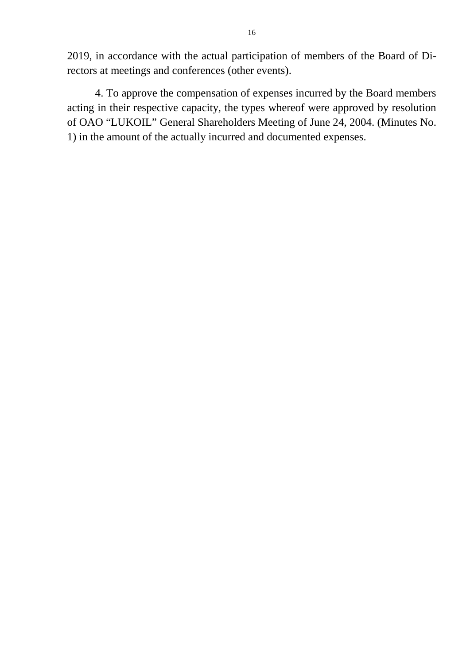2019, in accordance with the actual participation of members of the Board of Directors at meetings and conferences (other events).

4. To approve the compensation of expenses incurred by the Board members acting in their respective capacity, the types whereof were approved by resolution of OAO "LUKOIL" General Shareholders Meeting of June 24, 2004. (Minutes No. 1) in the amount of the actually incurred and documented expenses.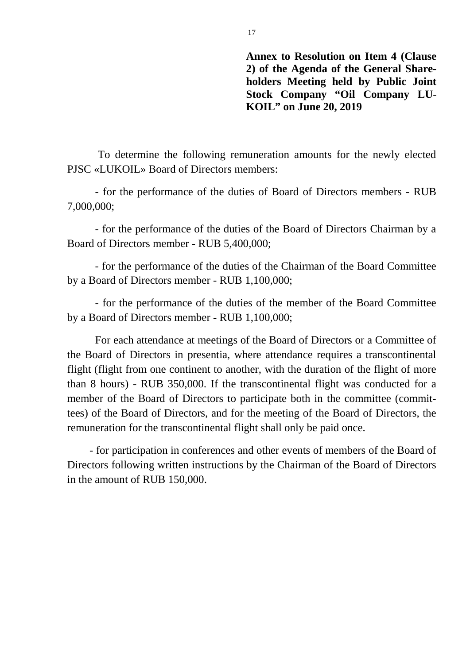**Annex to Resolution on Item 4 (Clause 2) of the Agenda of the General Shareholders Meeting held by Public Joint Stock Company "Oil Company LU-KOIL" on June 20, 2019** 

To determine the following remuneration amounts for the newly elected PJSC «LUKOIL» Board of Directors members:

- for the performance of the duties of Board of Directors members - RUB 7,000,000;

- for the performance of the duties of the Board of Directors Chairman by a Board of Directors member - RUB 5,400,000;

- for the performance of the duties of the Chairman of the Board Committee by a Board of Directors member - RUB 1,100,000;

- for the performance of the duties of the member of the Board Committee by a Board of Directors member - RUB 1,100,000;

For each attendance at meetings of the Board of Directors or a Committee of the Board of Directors in presentia, where attendance requires a transcontinental flight (flight from one continent to another, with the duration of the flight of more than 8 hours) - RUB 350,000. If the transcontinental flight was conducted for a member of the Board of Directors to participate both in the committee (committees) of the Board of Directors, and for the meeting of the Board of Directors, the remuneration for the transcontinental flight shall only be paid once.

- for participation in conferences and other events of members of the Board of Directors following written instructions by the Chairman of the Board of Directors in the amount of RUB 150,000.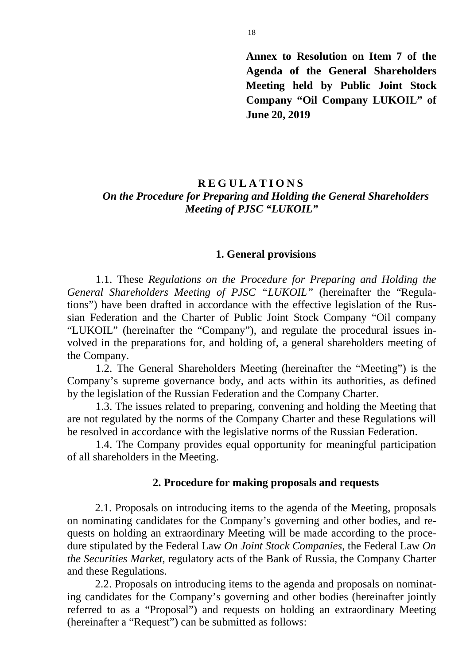**Annex to Resolution on Item 7 of the Agenda of the General Shareholders Meeting held by Public Joint Stock Company "Oil Company LUKOIL" of June 20, 2019** 

# **REGULATIONS** *On the Procedure for Preparing and Holding the General Shareholders Meeting of PJSC "LUKOIL"*

#### **1. General provisions**

1.1. These *Regulations on the Procedure for Preparing and Holding the General Shareholders Meeting of PJSC "LUKOIL"* (hereinafter the "Regulations") have been drafted in accordance with the effective legislation of the Russian Federation and the Charter of Public Joint Stock Company "Oil company "LUKOIL" (hereinafter the "Company"), and regulate the procedural issues involved in the preparations for, and holding of, a general shareholders meeting of the Company.

1.2. The General Shareholders Meeting (hereinafter the "Meeting") is the Company's supreme governance body, and acts within its authorities, as defined by the legislation of the Russian Federation and the Company Charter.

1.3. The issues related to preparing, convening and holding the Meeting that are not regulated by the norms of the Company Charter and these Regulations will be resolved in accordance with the legislative norms of the Russian Federation.

1.4. The Company provides equal opportunity for meaningful participation of all shareholders in the Meeting.

#### **2. Procedure for making proposals and requests**

2.1. Proposals on introducing items to the agenda of the Meeting, proposals on nominating candidates for the Company's governing and other bodies, and requests on holding an extraordinary Meeting will be made according to the procedure stipulated by the Federal Law *On Joint Stock Companies*, the Federal Law *On the Securities Market*, regulatory acts of the Bank of Russia, the Company Charter and these Regulations.

2.2. Proposals on introducing items to the agenda and proposals on nominating candidates for the Company's governing and other bodies (hereinafter jointly referred to as a "Proposal") and requests on holding an extraordinary Meeting (hereinafter a "Request") can be submitted as follows: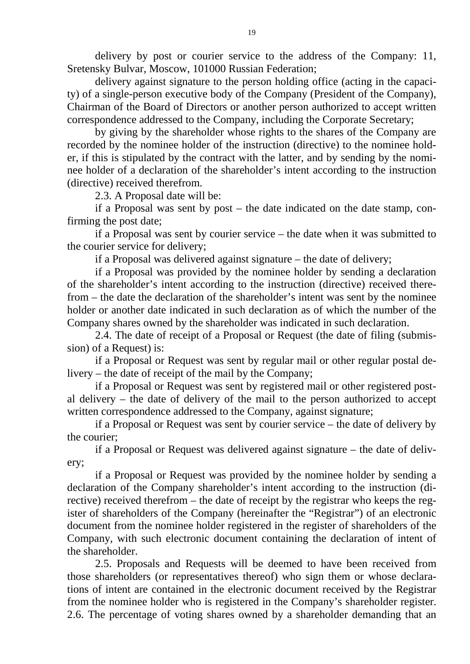delivery by post or courier service to the address of the Company: 11, Sretensky Bulvar, Moscow, 101000 Russian Federation;

delivery against signature to the person holding office (acting in the capacity) of a single-person executive body of the Company (President of the Company), Chairman of the Board of Directors or another person authorized to accept written correspondence addressed to the Company, including the Corporate Secretary;

by giving by the shareholder whose rights to the shares of the Company are recorded by the nominee holder of the instruction (directive) to the nominee holder, if this is stipulated by the contract with the latter, and by sending by the nominee holder of a declaration of the shareholder's intent according to the instruction (directive) received therefrom.

2.3. A Proposal date will be:

if a Proposal was sent by post – the date indicated on the date stamp, confirming the post date;

if a Proposal was sent by courier service – the date when it was submitted to the courier service for delivery;

if a Proposal was delivered against signature – the date of delivery;

if a Proposal was provided by the nominee holder by sending a declaration of the shareholder's intent according to the instruction (directive) received therefrom – the date the declaration of the shareholder's intent was sent by the nominee holder or another date indicated in such declaration as of which the number of the Company shares owned by the shareholder was indicated in such declaration.

2.4. The date of receipt of a Proposal or Request (the date of filing (submission) of a Request) is:

if a Proposal or Request was sent by regular mail or other regular postal delivery – the date of receipt of the mail by the Company;

if a Proposal or Request was sent by registered mail or other registered postal delivery – the date of delivery of the mail to the person authorized to accept written correspondence addressed to the Company, against signature;

if a Proposal or Request was sent by courier service – the date of delivery by the courier;

if a Proposal or Request was delivered against signature – the date of delivery;

if a Proposal or Request was provided by the nominee holder by sending a declaration of the Company shareholder's intent according to the instruction (directive) received therefrom – the date of receipt by the registrar who keeps the register of shareholders of the Company (hereinafter the "Registrar") of an electronic document from the nominee holder registered in the register of shareholders of the Company, with such electronic document containing the declaration of intent of the shareholder.

2.5. Proposals and Requests will be deemed to have been received from those shareholders (or representatives thereof) who sign them or whose declarations of intent are contained in the electronic document received by the Registrar from the nominee holder who is registered in the Company's shareholder register. 2.6. The percentage of voting shares owned by a shareholder demanding that an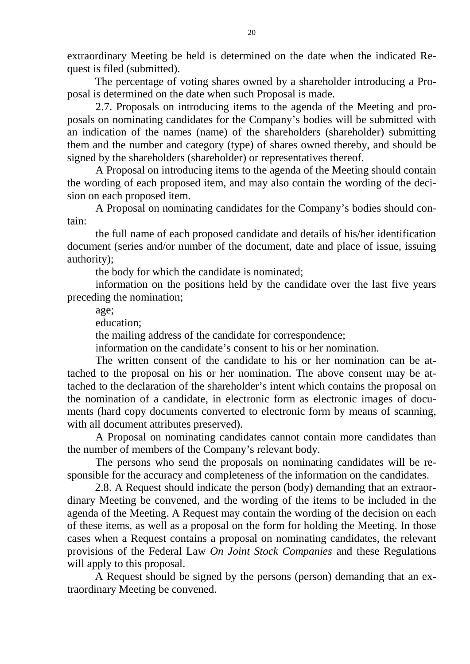extraordinary Meeting be held is determined on the date when the indicated Request is filed (submitted).

The percentage of voting shares owned by a shareholder introducing a Proposal is determined on the date when such Proposal is made.

2.7. Proposals on introducing items to the agenda of the Meeting and proposals on nominating candidates for the Company's bodies will be submitted with an indication of the names (name) of the shareholders (shareholder) submitting them and the number and category (type) of shares owned thereby, and should be signed by the shareholders (shareholder) or representatives thereof.

A Proposal on introducing items to the agenda of the Meeting should contain the wording of each proposed item, and may also contain the wording of the decision on each proposed item.

A Proposal on nominating candidates for the Company's bodies should contain:

the full name of each proposed candidate and details of his/her identification document (series and/or number of the document, date and place of issue, issuing authority);

the body for which the candidate is nominated;

information on the positions held by the candidate over the last five years preceding the nomination;

age;

education;

the mailing address of the candidate for correspondence;

information on the candidate's consent to his or her nomination.

The written consent of the candidate to his or her nomination can be attached to the proposal on his or her nomination. The above consent may be attached to the declaration of the shareholder's intent which contains the proposal on the nomination of a candidate, in electronic form as electronic images of documents (hard copy documents converted to electronic form by means of scanning, with all document attributes preserved).

A Proposal on nominating candidates cannot contain more candidates than the number of members of the Company's relevant body.

The persons who send the proposals on nominating candidates will be responsible for the accuracy and completeness of the information on the candidates.

2.8. A Request should indicate the person (body) demanding that an extraordinary Meeting be convened, and the wording of the items to be included in the agenda of the Meeting. A Request may contain the wording of the decision on each of these items, as well as a proposal on the form for holding the Meeting. In those cases when a Request contains a proposal on nominating candidates, the relevant provisions of the Federal Law *On Joint Stock Companies* and these Regulations will apply to this proposal.

A Request should be signed by the persons (person) demanding that an extraordinary Meeting be convened.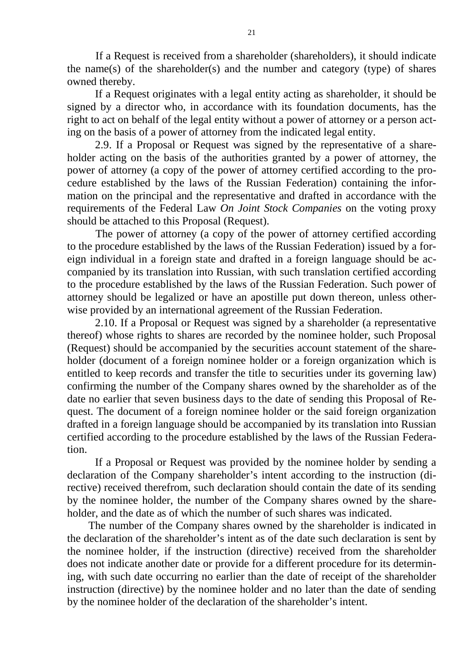If a Request is received from a shareholder (shareholders), it should indicate the name(s) of the shareholder(s) and the number and category (type) of shares owned thereby.

If a Request originates with a legal entity acting as shareholder, it should be signed by a director who, in accordance with its foundation documents, has the right to act on behalf of the legal entity without a power of attorney or a person acting on the basis of a power of attorney from the indicated legal entity.

2.9. If a Proposal or Request was signed by the representative of a shareholder acting on the basis of the authorities granted by a power of attorney, the power of attorney (a copy of the power of attorney certified according to the procedure established by the laws of the Russian Federation) containing the information on the principal and the representative and drafted in accordance with the requirements of the Federal Law *On Joint Stock Companies* on the voting proxy should be attached to this Proposal (Request).

The power of attorney (a copy of the power of attorney certified according to the procedure established by the laws of the Russian Federation) issued by a foreign individual in a foreign state and drafted in a foreign language should be accompanied by its translation into Russian, with such translation certified according to the procedure established by the laws of the Russian Federation. Such power of attorney should be legalized or have an apostille put down thereon, unless otherwise provided by an international agreement of the Russian Federation.

2.10. If a Proposal or Request was signed by a shareholder (a representative thereof) whose rights to shares are recorded by the nominee holder, such Proposal (Request) should be accompanied by the securities account statement of the shareholder (document of a foreign nominee holder or a foreign organization which is entitled to keep records and transfer the title to securities under its governing law) confirming the number of the Company shares owned by the shareholder as of the date no earlier that seven business days to the date of sending this Proposal of Request. The document of a foreign nominee holder or the said foreign organization drafted in a foreign language should be accompanied by its translation into Russian certified according to the procedure established by the laws of the Russian Federation.

If a Proposal or Request was provided by the nominee holder by sending a declaration of the Company shareholder's intent according to the instruction (directive) received therefrom, such declaration should contain the date of its sending by the nominee holder, the number of the Company shares owned by the shareholder, and the date as of which the number of such shares was indicated.

The number of the Company shares owned by the shareholder is indicated in the declaration of the shareholder's intent as of the date such declaration is sent by the nominee holder, if the instruction (directive) received from the shareholder does not indicate another date or provide for a different procedure for its determining, with such date occurring no earlier than the date of receipt of the shareholder instruction (directive) by the nominee holder and no later than the date of sending by the nominee holder of the declaration of the shareholder's intent.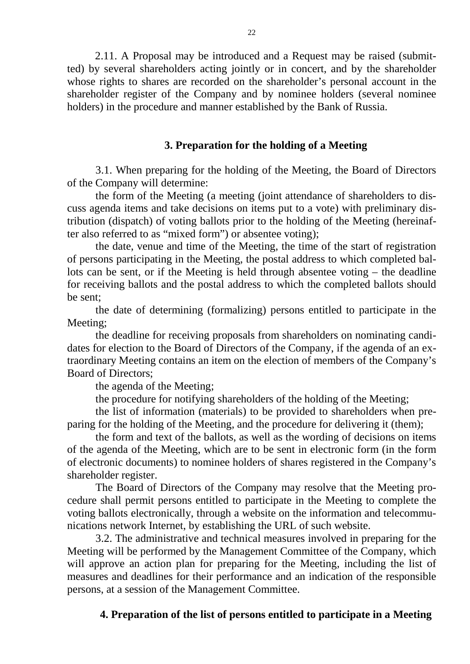2.11. A Proposal may be introduced and a Request may be raised (submitted) by several shareholders acting jointly or in concert, and by the shareholder whose rights to shares are recorded on the shareholder's personal account in the shareholder register of the Company and by nominee holders (several nominee holders) in the procedure and manner established by the Bank of Russia.

### **3. Preparation for the holding of a Meeting**

3.1. When preparing for the holding of the Meeting, the Board of Directors of the Company will determine:

the form of the Meeting (a meeting (joint attendance of shareholders to discuss agenda items and take decisions on items put to a vote) with preliminary distribution (dispatch) of voting ballots prior to the holding of the Meeting (hereinafter also referred to as "mixed form") or absentee voting);

the date, venue and time of the Meeting, the time of the start of registration of persons participating in the Meeting, the postal address to which completed ballots can be sent, or if the Meeting is held through absentee voting – the deadline for receiving ballots and the postal address to which the completed ballots should be sent;

the date of determining (formalizing) persons entitled to participate in the Meeting;

the deadline for receiving proposals from shareholders on nominating candidates for election to the Board of Directors of the Company, if the agenda of an extraordinary Meeting contains an item on the election of members of the Company's Board of Directors;

the agenda of the Meeting;

the procedure for notifying shareholders of the holding of the Meeting;

the list of information (materials) to be provided to shareholders when preparing for the holding of the Meeting, and the procedure for delivering it (them);

the form and text of the ballots, as well as the wording of decisions on items of the agenda of the Meeting, which are to be sent in electronic form (in the form of electronic documents) to nominee holders of shares registered in the Company's shareholder register.

The Board of Directors of the Company may resolve that the Meeting procedure shall permit persons entitled to participate in the Meeting to complete the voting ballots electronically, through a website on the information and telecommunications network Internet, by establishing the URL of such website.

3.2. The administrative and technical measures involved in preparing for the Meeting will be performed by the Management Committee of the Company, which will approve an action plan for preparing for the Meeting, including the list of measures and deadlines for their performance and an indication of the responsible persons, at a session of the Management Committee.

#### **4. Preparation of the list of persons entitled to participate in a Meeting**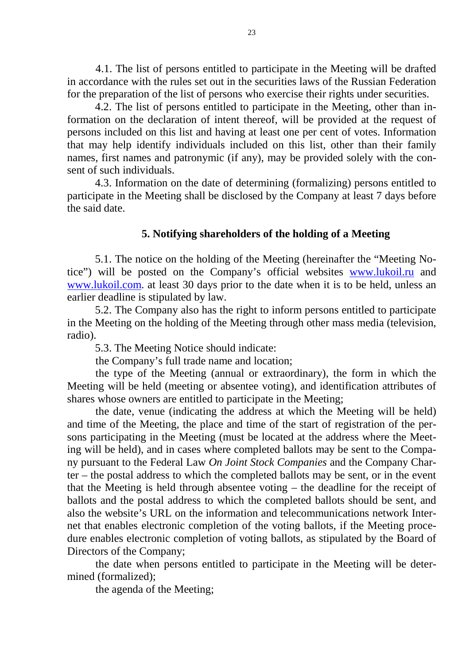4.1. The list of persons entitled to participate in the Meeting will be drafted in accordance with the rules set out in the securities laws of the Russian Federation for the preparation of the list of persons who exercise their rights under securities.

4.2. The list of persons entitled to participate in the Meeting, other than information on the declaration of intent thereof, will be provided at the request of persons included on this list and having at least one per cent of votes. Information that may help identify individuals included on this list, other than their family names, first names and patronymic (if any), may be provided solely with the consent of such individuals.

4.3. Information on the date of determining (formalizing) persons entitled to participate in the Meeting shall be disclosed by the Company at least 7 days before the said date.

### **5. Notifying shareholders of the holding of a Meeting**

5.1. The notice on the holding of the Meeting (hereinafter the "Meeting Notice") will be posted on the Company's official websites [www.lukoil.ru](http://www.lukoil.ru/) and [www.lukoil.com.](http://www.lukoil.com/) at least 30 days prior to the date when it is to be held, unless an earlier deadline is stipulated by law.

5.2. The Company also has the right to inform persons entitled to participate in the Meeting on the holding of the Meeting through other mass media (television, radio).

5.3. The Meeting Notice should indicate:

the Company's full trade name and location;

the type of the Meeting (annual or extraordinary), the form in which the Meeting will be held (meeting or absentee voting), and identification attributes of shares whose owners are entitled to participate in the Meeting;

the date, venue (indicating the address at which the Meeting will be held) and time of the Meeting, the place and time of the start of registration of the persons participating in the Meeting (must be located at the address where the Meeting will be held), and in cases where completed ballots may be sent to the Company pursuant to the Federal Law *On Joint Stock Companies* and the Company Charter – the postal address to which the completed ballots may be sent, or in the event that the Meeting is held through absentee voting – the deadline for the receipt of ballots and the postal address to which the completed ballots should be sent, and also the website's URL on the information and telecommunications network Internet that enables electronic completion of the voting ballots, if the Meeting procedure enables electronic completion of voting ballots, as stipulated by the Board of Directors of the Company;

the date when persons entitled to participate in the Meeting will be determined (formalized);

the agenda of the Meeting;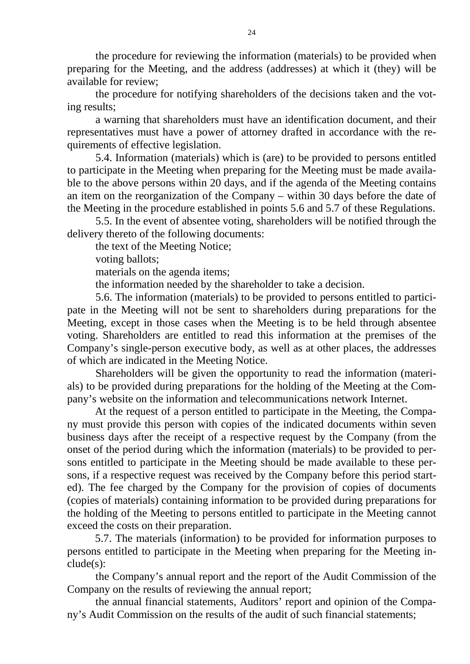the procedure for reviewing the information (materials) to be provided when preparing for the Meeting, and the address (addresses) at which it (they) will be available for review;

the procedure for notifying shareholders of the decisions taken and the voting results;

a warning that shareholders must have an identification document, and their representatives must have a power of attorney drafted in accordance with the requirements of effective legislation.

5.4. Information (materials) which is (are) to be provided to persons entitled to participate in the Meeting when preparing for the Meeting must be made available to the above persons within 20 days, and if the agenda of the Meeting contains an item on the reorganization of the Company – within 30 days before the date of the Meeting in the procedure established in points 5.6 and 5.7 of these Regulations.

5.5. In the event of absentee voting, shareholders will be notified through the delivery thereto of the following documents:

the text of the Meeting Notice;

voting ballots;

materials on the agenda items;

the information needed by the shareholder to take a decision.

5.6. The information (materials) to be provided to persons entitled to participate in the Meeting will not be sent to shareholders during preparations for the Meeting, except in those cases when the Meeting is to be held through absentee voting. Shareholders are entitled to read this information at the premises of the Company's single-person executive body, as well as at other places, the addresses of which are indicated in the Meeting Notice.

Shareholders will be given the opportunity to read the information (materials) to be provided during preparations for the holding of the Meeting at the Company's website on the information and telecommunications network Internet.

At the request of a person entitled to participate in the Meeting, the Company must provide this person with copies of the indicated documents within seven business days after the receipt of a respective request by the Company (from the onset of the period during which the information (materials) to be provided to persons entitled to participate in the Meeting should be made available to these persons, if a respective request was received by the Company before this period started). The fee charged by the Company for the provision of copies of documents (copies of materials) containing information to be provided during preparations for the holding of the Meeting to persons entitled to participate in the Meeting cannot exceed the costs on their preparation.

5.7. The materials (information) to be provided for information purposes to persons entitled to participate in the Meeting when preparing for the Meeting include(s):

the Company's annual report and the report of the Audit Commission of the Company on the results of reviewing the annual report;

the annual financial statements, Auditors' report and opinion of the Company's Audit Commission on the results of the audit of such financial statements;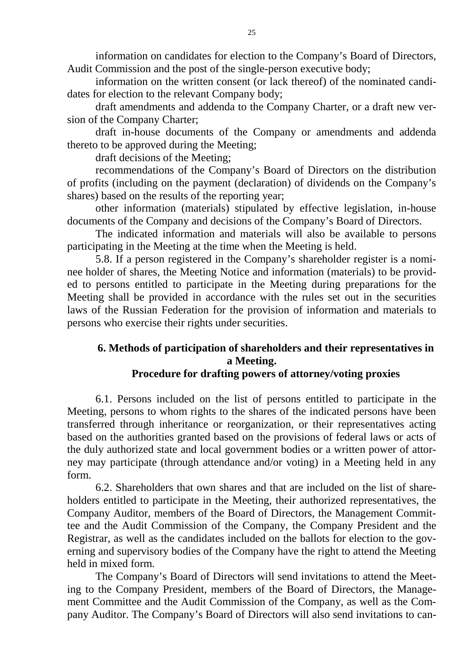information on candidates for election to the Company's Board of Directors, Audit Commission and the post of the single-person executive body;

information on the written consent (or lack thereof) of the nominated candidates for election to the relevant Company body;

draft amendments and addenda to the Company Charter, or a draft new version of the Company Charter;

draft in-house documents of the Company or amendments and addenda thereto to be approved during the Meeting;

draft decisions of the Meeting;

recommendations of the Company's Board of Directors on the distribution of profits (including on the payment (declaration) of dividends on the Company's shares) based on the results of the reporting year;

other information (materials) stipulated by effective legislation, in-house documents of the Company and decisions of the Company's Board of Directors.

The indicated information and materials will also be available to persons participating in the Meeting at the time when the Meeting is held.

5.8. If a person registered in the Company's shareholder register is a nominee holder of shares, the Meeting Notice and information (materials) to be provided to persons entitled to participate in the Meeting during preparations for the Meeting shall be provided in accordance with the rules set out in the securities laws of the Russian Federation for the provision of information and materials to persons who exercise their rights under securities.

# **6. Methods of participation of shareholders and their representatives in a Meeting.**

# **Procedure for drafting powers of attorney/voting proxies**

6.1. Persons included on the list of persons entitled to participate in the Meeting, persons to whom rights to the shares of the indicated persons have been transferred through inheritance or reorganization, or their representatives acting based on the authorities granted based on the provisions of federal laws or acts of the duly authorized state and local government bodies or a written power of attorney may participate (through attendance and/or voting) in a Meeting held in any form.

6.2. Shareholders that own shares and that are included on the list of shareholders entitled to participate in the Meeting, their authorized representatives, the Company Auditor, members of the Board of Directors, the Management Committee and the Audit Commission of the Company, the Company President and the Registrar, as well as the candidates included on the ballots for election to the governing and supervisory bodies of the Company have the right to attend the Meeting held in mixed form.

The Company's Board of Directors will send invitations to attend the Meeting to the Company President, members of the Board of Directors, the Management Committee and the Audit Commission of the Company, as well as the Company Auditor. The Company's Board of Directors will also send invitations to can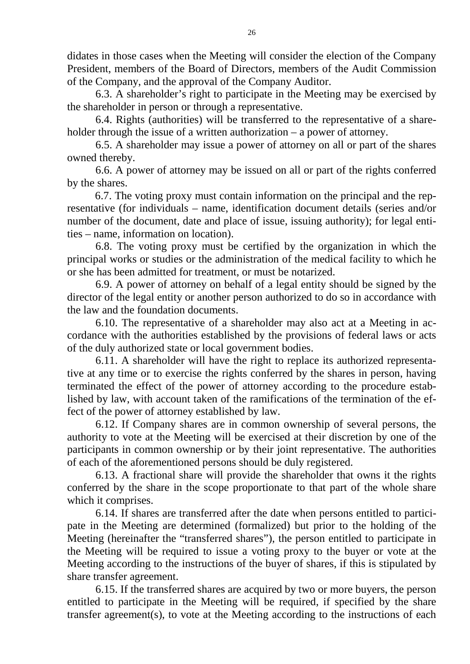didates in those cases when the Meeting will consider the election of the Company President, members of the Board of Directors, members of the Audit Commission of the Company, and the approval of the Company Auditor.

6.3. A shareholder's right to participate in the Meeting may be exercised by the shareholder in person or through a representative.

6.4. Rights (authorities) will be transferred to the representative of a shareholder through the issue of a written authorization – a power of attorney.

6.5. A shareholder may issue a power of attorney on all or part of the shares owned thereby.

6.6. A power of attorney may be issued on all or part of the rights conferred by the shares.

6.7. The voting proxy must contain information on the principal and the representative (for individuals – name, identification document details (series and/or number of the document, date and place of issue, issuing authority); for legal entities – name, information on location).

6.8. The voting proxy must be certified by the organization in which the principal works or studies or the administration of the medical facility to which he or she has been admitted for treatment, or must be notarized.

6.9. A power of attorney on behalf of a legal entity should be signed by the director of the legal entity or another person authorized to do so in accordance with the law and the foundation documents.

6.10. The representative of a shareholder may also act at a Meeting in accordance with the authorities established by the provisions of federal laws or acts of the duly authorized state or local government bodies.

6.11. A shareholder will have the right to replace its authorized representative at any time or to exercise the rights conferred by the shares in person, having terminated the effect of the power of attorney according to the procedure established by law, with account taken of the ramifications of the termination of the effect of the power of attorney established by law.

6.12. If Company shares are in common ownership of several persons, the authority to vote at the Meeting will be exercised at their discretion by one of the participants in common ownership or by their joint representative. The authorities of each of the aforementioned persons should be duly registered.

6.13. A fractional share will provide the shareholder that owns it the rights conferred by the share in the scope proportionate to that part of the whole share which it comprises.

6.14. If shares are transferred after the date when persons entitled to participate in the Meeting are determined (formalized) but prior to the holding of the Meeting (hereinafter the "transferred shares"), the person entitled to participate in the Meeting will be required to issue a voting proxy to the buyer or vote at the Meeting according to the instructions of the buyer of shares, if this is stipulated by share transfer agreement.

6.15. If the transferred shares are acquired by two or more buyers, the person entitled to participate in the Meeting will be required, if specified by the share transfer agreement(s), to vote at the Meeting according to the instructions of each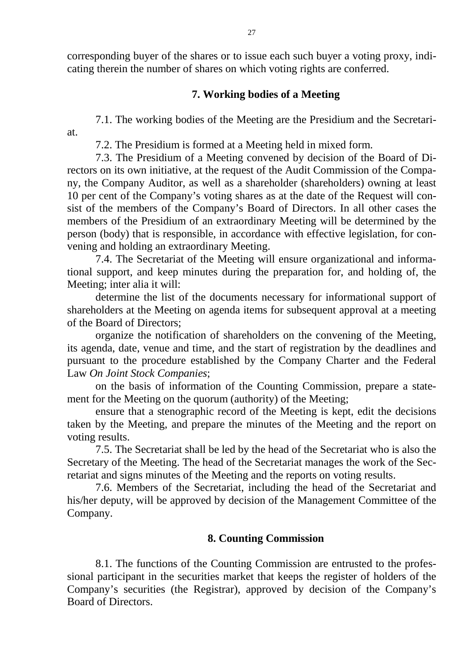corresponding buyer of the shares or to issue each such buyer a voting proxy, indicating therein the number of shares on which voting rights are conferred.

### **7. Working bodies of a Meeting**

7.1. The working bodies of the Meeting are the Presidium and the Secretariat.

7.2. The Presidium is formed at a Meeting held in mixed form.

7.3. The Presidium of a Meeting convened by decision of the Board of Directors on its own initiative, at the request of the Audit Commission of the Company, the Company Auditor, as well as a shareholder (shareholders) owning at least 10 per cent of the Company's voting shares as at the date of the Request will consist of the members of the Company's Board of Directors. In all other cases the members of the Presidium of an extraordinary Meeting will be determined by the person (body) that is responsible, in accordance with effective legislation, for convening and holding an extraordinary Meeting.

7.4. The Secretariat of the Meeting will ensure organizational and informational support, and keep minutes during the preparation for, and holding of, the Meeting; inter alia it will:

determine the list of the documents necessary for informational support of shareholders at the Meeting on agenda items for subsequent approval at a meeting of the Board of Directors;

organize the notification of shareholders on the convening of the Meeting, its agenda, date, venue and time, and the start of registration by the deadlines and pursuant to the procedure established by the Company Charter and the Federal Law *On Joint Stock Companies*;

on the basis of information of the Counting Commission, prepare a statement for the Meeting on the quorum (authority) of the Meeting;

ensure that a stenographic record of the Meeting is kept, edit the decisions taken by the Meeting, and prepare the minutes of the Meeting and the report on voting results.

7.5. The Secretariat shall be led by the head of the Secretariat who is also the Secretary of the Meeting. The head of the Secretariat manages the work of the Secretariat and signs minutes of the Meeting and the reports on voting results.

7.6. Members of the Secretariat, including the head of the Secretariat and his/her deputy, will be approved by decision of the Management Committee of the Company.

# **8. Counting Commission**

8.1. The functions of the Counting Commission are entrusted to the professional participant in the securities market that keeps the register of holders of the Company's securities (the Registrar), approved by decision of the Company's Board of Directors.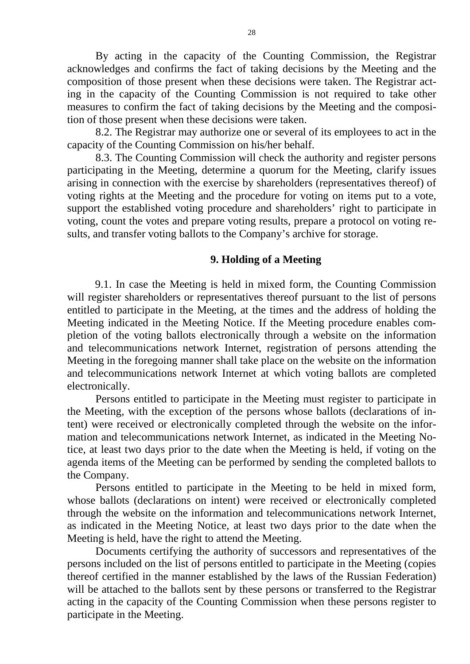By acting in the capacity of the Counting Commission, the Registrar acknowledges and confirms the fact of taking decisions by the Meeting and the composition of those present when these decisions were taken. The Registrar acting in the capacity of the Counting Commission is not required to take other measures to confirm the fact of taking decisions by the Meeting and the composition of those present when these decisions were taken.

8.2. The Registrar may authorize one or several of its employees to act in the capacity of the Counting Commission on his/her behalf.

8.3. The Counting Commission will check the authority and register persons participating in the Meeting, determine a quorum for the Meeting, clarify issues arising in connection with the exercise by shareholders (representatives thereof) of voting rights at the Meeting and the procedure for voting on items put to a vote, support the established voting procedure and shareholders' right to participate in voting, count the votes and prepare voting results, prepare a protocol on voting results, and transfer voting ballots to the Company's archive for storage.

#### **9. Holding of a Meeting**

9.1. In case the Meeting is held in mixed form, the Counting Commission will register shareholders or representatives thereof pursuant to the list of persons entitled to participate in the Meeting, at the times and the address of holding the Meeting indicated in the Meeting Notice. If the Meeting procedure enables completion of the voting ballots electronically through a website on the information and telecommunications network Internet, registration of persons attending the Meeting in the foregoing manner shall take place on the website on the information and telecommunications network Internet at which voting ballots are completed electronically.

Persons entitled to participate in the Meeting must register to participate in the Meeting, with the exception of the persons whose ballots (declarations of intent) were received or electronically completed through the website on the information and telecommunications network Internet, as indicated in the Meeting Notice, at least two days prior to the date when the Meeting is held, if voting on the agenda items of the Meeting can be performed by sending the completed ballots to the Company.

Persons entitled to participate in the Meeting to be held in mixed form, whose ballots (declarations on intent) were received or electronically completed through the website on the information and telecommunications network Internet, as indicated in the Meeting Notice, at least two days prior to the date when the Meeting is held, have the right to attend the Meeting.

Documents certifying the authority of successors and representatives of the persons included on the list of persons entitled to participate in the Meeting (copies thereof certified in the manner established by the laws of the Russian Federation) will be attached to the ballots sent by these persons or transferred to the Registrar acting in the capacity of the Counting Commission when these persons register to participate in the Meeting.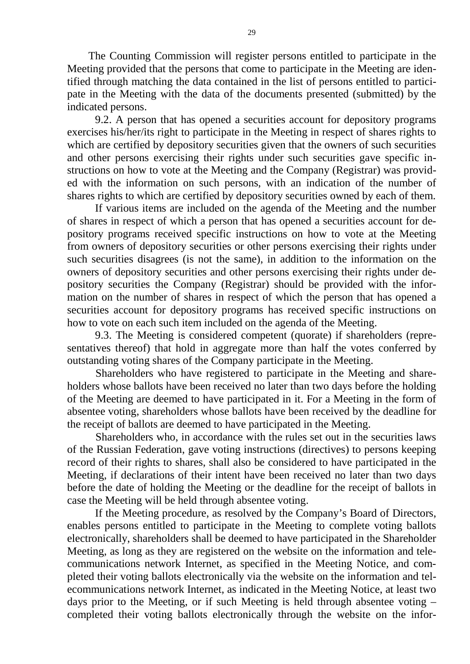The Counting Commission will register persons entitled to participate in the Meeting provided that the persons that come to participate in the Meeting are identified through matching the data contained in the list of persons entitled to participate in the Meeting with the data of the documents presented (submitted) by the indicated persons.

9.2. A person that has opened a securities account for depository programs exercises his/her/its right to participate in the Meeting in respect of shares rights to which are certified by depository securities given that the owners of such securities and other persons exercising their rights under such securities gave specific instructions on how to vote at the Meeting and the Company (Registrar) was provided with the information on such persons, with an indication of the number of shares rights to which are certified by depository securities owned by each of them.

If various items are included on the agenda of the Meeting and the number of shares in respect of which a person that has opened a securities account for depository programs received specific instructions on how to vote at the Meeting from owners of depository securities or other persons exercising their rights under such securities disagrees (is not the same), in addition to the information on the owners of depository securities and other persons exercising their rights under depository securities the Company (Registrar) should be provided with the information on the number of shares in respect of which the person that has opened a securities account for depository programs has received specific instructions on how to vote on each such item included on the agenda of the Meeting.

9.3. The Meeting is considered competent (quorate) if shareholders (representatives thereof) that hold in aggregate more than half the votes conferred by outstanding voting shares of the Company participate in the Meeting.

Shareholders who have registered to participate in the Meeting and shareholders whose ballots have been received no later than two days before the holding of the Meeting are deemed to have participated in it. For a Meeting in the form of absentee voting, shareholders whose ballots have been received by the deadline for the receipt of ballots are deemed to have participated in the Meeting.

Shareholders who, in accordance with the rules set out in the securities laws of the Russian Federation, gave voting instructions (directives) to persons keeping record of their rights to shares, shall also be considered to have participated in the Meeting, if declarations of their intent have been received no later than two days before the date of holding the Meeting or the deadline for the receipt of ballots in case the Meeting will be held through absentee voting.

If the Meeting procedure, as resolved by the Company's Board of Directors, enables persons entitled to participate in the Meeting to complete voting ballots electronically, shareholders shall be deemed to have participated in the Shareholder Meeting, as long as they are registered on the website on the information and telecommunications network Internet, as specified in the Meeting Notice, and completed their voting ballots electronically via the website on the information and telecommunications network Internet, as indicated in the Meeting Notice, at least two days prior to the Meeting, or if such Meeting is held through absentee voting – completed their voting ballots electronically through the website on the infor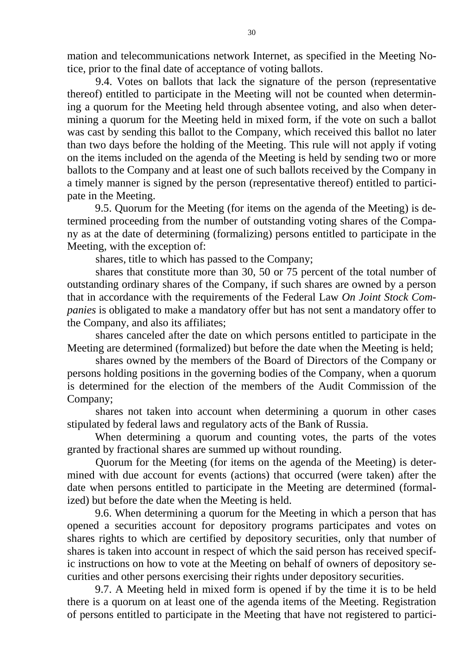mation and telecommunications network Internet, as specified in the Meeting Notice, prior to the final date of acceptance of voting ballots.

9.4. Votes on ballots that lack the signature of the person (representative thereof) entitled to participate in the Meeting will not be counted when determining a quorum for the Meeting held through absentee voting, and also when determining a quorum for the Meeting held in mixed form, if the vote on such a ballot was cast by sending this ballot to the Company, which received this ballot no later than two days before the holding of the Meeting. This rule will not apply if voting on the items included on the agenda of the Meeting is held by sending two or more ballots to the Company and at least one of such ballots received by the Company in a timely manner is signed by the person (representative thereof) entitled to participate in the Meeting.

9.5. Quorum for the Meeting (for items on the agenda of the Meeting) is determined proceeding from the number of outstanding voting shares of the Company as at the date of determining (formalizing) persons entitled to participate in the Meeting, with the exception of:

shares, title to which has passed to the Company;

shares that constitute more than 30, 50 or 75 percent of the total number of outstanding ordinary shares of the Company, if such shares are owned by a person that in accordance with the requirements of the Federal Law *On Joint Stock Companies* is obligated to make a mandatory offer but has not sent a mandatory offer to the Company, and also its affiliates;

shares canceled after the date on which persons entitled to participate in the Meeting are determined (formalized) but before the date when the Meeting is held;

shares owned by the members of the Board of Directors of the Company or persons holding positions in the governing bodies of the Company, when a quorum is determined for the election of the members of the Audit Commission of the Company;

shares not taken into account when determining a quorum in other cases stipulated by federal laws and regulatory acts of the Bank of Russia.

When determining a quorum and counting votes, the parts of the votes granted by fractional shares are summed up without rounding.

Quorum for the Meeting (for items on the agenda of the Meeting) is determined with due account for events (actions) that occurred (were taken) after the date when persons entitled to participate in the Meeting are determined (formalized) but before the date when the Meeting is held.

9.6. When determining a quorum for the Meeting in which a person that has opened a securities account for depository programs participates and votes on shares rights to which are certified by depository securities, only that number of shares is taken into account in respect of which the said person has received specific instructions on how to vote at the Meeting on behalf of owners of depository securities and other persons exercising their rights under depository securities.

9.7. A Meeting held in mixed form is opened if by the time it is to be held there is a quorum on at least one of the agenda items of the Meeting. Registration of persons entitled to participate in the Meeting that have not registered to partici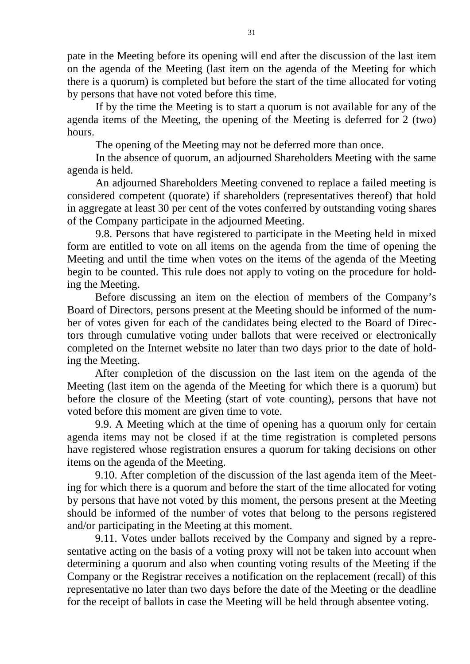pate in the Meeting before its opening will end after the discussion of the last item on the agenda of the Meeting (last item on the agenda of the Meeting for which there is a quorum) is completed but before the start of the time allocated for voting by persons that have not voted before this time.

If by the time the Meeting is to start a quorum is not available for any of the agenda items of the Meeting, the opening of the Meeting is deferred for 2 (two) hours.

The opening of the Meeting may not be deferred more than once.

In the absence of quorum, an adjourned Shareholders Meeting with the same agenda is held.

An adjourned Shareholders Meeting convened to replace a failed meeting is considered competent (quorate) if shareholders (representatives thereof) that hold in aggregate at least 30 per cent of the votes conferred by outstanding voting shares of the Company participate in the adjourned Meeting.

9.8. Persons that have registered to participate in the Meeting held in mixed form are entitled to vote on all items on the agenda from the time of opening the Meeting and until the time when votes on the items of the agenda of the Meeting begin to be counted. This rule does not apply to voting on the procedure for holding the Meeting.

Before discussing an item on the election of members of the Company's Board of Directors, persons present at the Meeting should be informed of the number of votes given for each of the candidates being elected to the Board of Directors through cumulative voting under ballots that were received or electronically completed on the Internet website no later than two days prior to the date of holding the Meeting.

After completion of the discussion on the last item on the agenda of the Meeting (last item on the agenda of the Meeting for which there is a quorum) but before the closure of the Meeting (start of vote counting), persons that have not voted before this moment are given time to vote.

9.9. A Meeting which at the time of opening has a quorum only for certain agenda items may not be closed if at the time registration is completed persons have registered whose registration ensures a quorum for taking decisions on other items on the agenda of the Meeting.

9.10. After completion of the discussion of the last agenda item of the Meeting for which there is a quorum and before the start of the time allocated for voting by persons that have not voted by this moment, the persons present at the Meeting should be informed of the number of votes that belong to the persons registered and/or participating in the Meeting at this moment.

9.11. Votes under ballots received by the Company and signed by a representative acting on the basis of a voting proxy will not be taken into account when determining a quorum and also when counting voting results of the Meeting if the Company or the Registrar receives a notification on the replacement (recall) of this representative no later than two days before the date of the Meeting or the deadline for the receipt of ballots in case the Meeting will be held through absentee voting.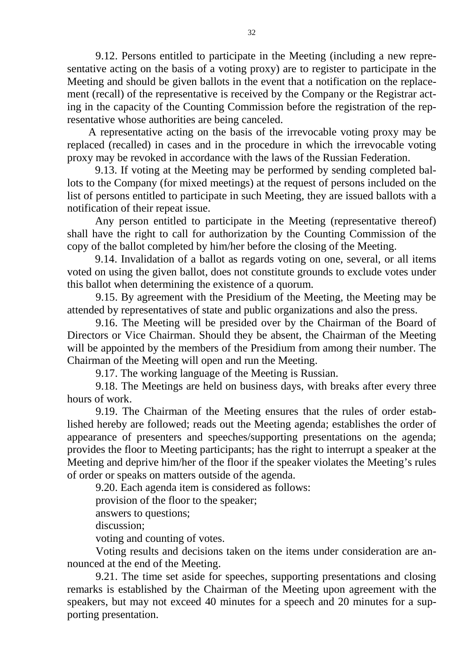9.12. Persons entitled to participate in the Meeting (including a new representative acting on the basis of a voting proxy) are to register to participate in the Meeting and should be given ballots in the event that a notification on the replacement (recall) of the representative is received by the Company or the Registrar acting in the capacity of the Counting Commission before the registration of the representative whose authorities are being canceled.

A representative acting on the basis of the irrevocable voting proxy may be replaced (recalled) in cases and in the procedure in which the irrevocable voting proxy may be revoked in accordance with the laws of the Russian Federation.

9.13. If voting at the Meeting may be performed by sending completed ballots to the Company (for mixed meetings) at the request of persons included on the list of persons entitled to participate in such Meeting, they are issued ballots with a notification of their repeat issue.

Any person entitled to participate in the Meeting (representative thereof) shall have the right to call for authorization by the Counting Commission of the copy of the ballot completed by him/her before the closing of the Meeting.

9.14. Invalidation of a ballot as regards voting on one, several, or all items voted on using the given ballot, does not constitute grounds to exclude votes under this ballot when determining the existence of a quorum.

9.15. By agreement with the Presidium of the Meeting, the Meeting may be attended by representatives of state and public organizations and also the press.

9.16. The Meeting will be presided over by the Chairman of the Board of Directors or Vice Chairman. Should they be absent, the Chairman of the Meeting will be appointed by the members of the Presidium from among their number. The Chairman of the Meeting will open and run the Meeting.

9.17. The working language of the Meeting is Russian.

9.18. The Meetings are held on business days, with breaks after every three hours of work.

9.19. The Chairman of the Meeting ensures that the rules of order established hereby are followed; reads out the Meeting agenda; establishes the order of appearance of presenters and speeches/supporting presentations on the agenda; provides the floor to Meeting participants; has the right to interrupt a speaker at the Meeting and deprive him/her of the floor if the speaker violates the Meeting's rules of order or speaks on matters outside of the agenda.

9.20. Each agenda item is considered as follows:

provision of the floor to the speaker;

answers to questions;

discussion;

voting and counting of votes.

Voting results and decisions taken on the items under consideration are announced at the end of the Meeting.

9.21. The time set aside for speeches, supporting presentations and closing remarks is established by the Chairman of the Meeting upon agreement with the speakers, but may not exceed 40 minutes for a speech and 20 minutes for a supporting presentation.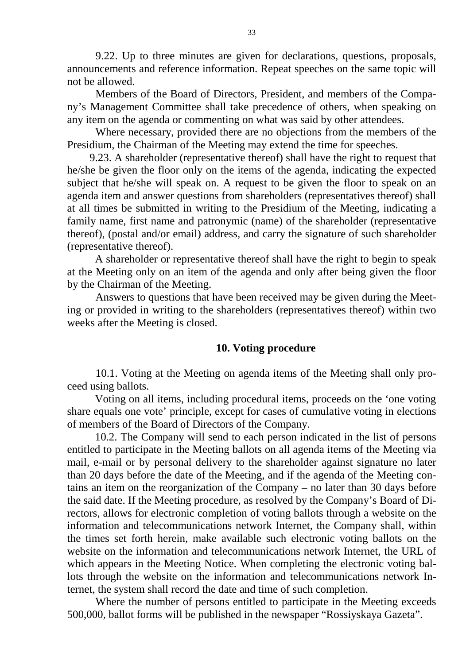9.22. Up to three minutes are given for declarations, questions, proposals, announcements and reference information. Repeat speeches on the same topic will not be allowed.

Members of the Board of Directors, President, and members of the Company's Management Committee shall take precedence of others, when speaking on any item on the agenda or commenting on what was said by other attendees.

Where necessary, provided there are no objections from the members of the Presidium, the Chairman of the Meeting may extend the time for speeches.

9.23. A shareholder (representative thereof) shall have the right to request that he/she be given the floor only on the items of the agenda, indicating the expected subject that he/she will speak on. A request to be given the floor to speak on an agenda item and answer questions from shareholders (representatives thereof) shall at all times be submitted in writing to the Presidium of the Meeting, indicating a family name, first name and patronymic (name) of the shareholder (representative thereof), (postal and/or email) address, and carry the signature of such shareholder (representative thereof).

A shareholder or representative thereof shall have the right to begin to speak at the Meeting only on an item of the agenda and only after being given the floor by the Chairman of the Meeting.

Answers to questions that have been received may be given during the Meeting or provided in writing to the shareholders (representatives thereof) within two weeks after the Meeting is closed.

#### **10. Voting procedure**

10.1. Voting at the Meeting on agenda items of the Meeting shall only proceed using ballots.

Voting on all items, including procedural items, proceeds on the 'one voting share equals one vote' principle, except for cases of cumulative voting in elections of members of the Board of Directors of the Company.

10.2. The Company will send to each person indicated in the list of persons entitled to participate in the Meeting ballots on all agenda items of the Meeting via mail, e-mail or by personal delivery to the shareholder against signature no later than 20 days before the date of the Meeting, and if the agenda of the Meeting contains an item on the reorganization of the Company – no later than 30 days before the said date. If the Meeting procedure, as resolved by the Company's Board of Directors, allows for electronic completion of voting ballots through a website on the information and telecommunications network Internet, the Company shall, within the times set forth herein, make available such electronic voting ballots on the website on the information and telecommunications network Internet, the URL of which appears in the Meeting Notice. When completing the electronic voting ballots through the website on the information and telecommunications network Internet, the system shall record the date and time of such completion.

Where the number of persons entitled to participate in the Meeting exceeds 500,000, ballot forms will be published in the newspaper "Rossiyskaya Gazeta".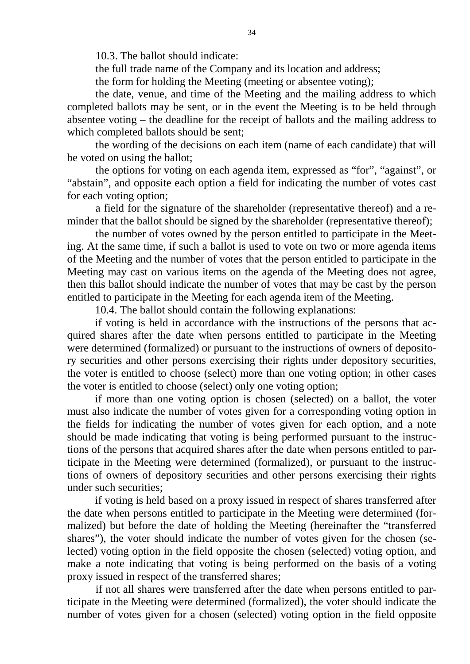10.3. The ballot should indicate:

the full trade name of the Company and its location and address;

the form for holding the Meeting (meeting or absentee voting);

the date, venue, and time of the Meeting and the mailing address to which completed ballots may be sent, or in the event the Meeting is to be held through absentee voting – the deadline for the receipt of ballots and the mailing address to which completed ballots should be sent;

the wording of the decisions on each item (name of each candidate) that will be voted on using the ballot;

the options for voting on each agenda item, expressed as "for", "against", or "abstain", and opposite each option a field for indicating the number of votes cast for each voting option;

a field for the signature of the shareholder (representative thereof) and a reminder that the ballot should be signed by the shareholder (representative thereof);

the number of votes owned by the person entitled to participate in the Meeting. At the same time, if such a ballot is used to vote on two or more agenda items of the Meeting and the number of votes that the person entitled to participate in the Meeting may cast on various items on the agenda of the Meeting does not agree, then this ballot should indicate the number of votes that may be cast by the person entitled to participate in the Meeting for each agenda item of the Meeting.

10.4. The ballot should contain the following explanations:

if voting is held in accordance with the instructions of the persons that acquired shares after the date when persons entitled to participate in the Meeting were determined (formalized) or pursuant to the instructions of owners of depository securities and other persons exercising their rights under depository securities, the voter is entitled to choose (select) more than one voting option; in other cases the voter is entitled to choose (select) only one voting option;

if more than one voting option is chosen (selected) on a ballot, the voter must also indicate the number of votes given for a corresponding voting option in the fields for indicating the number of votes given for each option, and a note should be made indicating that voting is being performed pursuant to the instructions of the persons that acquired shares after the date when persons entitled to participate in the Meeting were determined (formalized), or pursuant to the instructions of owners of depository securities and other persons exercising their rights under such securities;

if voting is held based on a proxy issued in respect of shares transferred after the date when persons entitled to participate in the Meeting were determined (formalized) but before the date of holding the Meeting (hereinafter the "transferred shares"), the voter should indicate the number of votes given for the chosen (selected) voting option in the field opposite the chosen (selected) voting option, and make a note indicating that voting is being performed on the basis of a voting proxy issued in respect of the transferred shares;

if not all shares were transferred after the date when persons entitled to participate in the Meeting were determined (formalized), the voter should indicate the number of votes given for a chosen (selected) voting option in the field opposite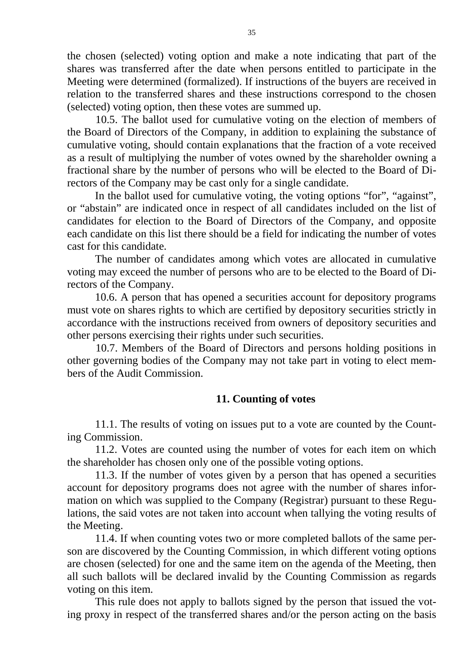the chosen (selected) voting option and make a note indicating that part of the shares was transferred after the date when persons entitled to participate in the Meeting were determined (formalized). If instructions of the buyers are received in relation to the transferred shares and these instructions correspond to the chosen (selected) voting option, then these votes are summed up.

10.5. The ballot used for cumulative voting on the election of members of the Board of Directors of the Company, in addition to explaining the substance of cumulative voting, should contain explanations that the fraction of a vote received as a result of multiplying the number of votes owned by the shareholder owning a fractional share by the number of persons who will be elected to the Board of Directors of the Company may be cast only for a single candidate.

In the ballot used for cumulative voting, the voting options "for", "against", or "abstain" are indicated once in respect of all candidates included on the list of candidates for election to the Board of Directors of the Company, and opposite each candidate on this list there should be a field for indicating the number of votes cast for this candidate.

The number of candidates among which votes are allocated in cumulative voting may exceed the number of persons who are to be elected to the Board of Directors of the Company.

10.6. A person that has opened a securities account for depository programs must vote on shares rights to which are certified by depository securities strictly in accordance with the instructions received from owners of depository securities and other persons exercising their rights under such securities.

10.7. Members of the Board of Directors and persons holding positions in other governing bodies of the Company may not take part in voting to elect members of the Audit Commission.

### **11. Counting of votes**

11.1. The results of voting on issues put to a vote are counted by the Counting Commission.

11.2. Votes are counted using the number of votes for each item on which the shareholder has chosen only one of the possible voting options.

11.3. If the number of votes given by a person that has opened a securities account for depository programs does not agree with the number of shares information on which was supplied to the Company (Registrar) pursuant to these Regulations, the said votes are not taken into account when tallying the voting results of the Meeting.

11.4. If when counting votes two or more completed ballots of the same person are discovered by the Counting Commission, in which different voting options are chosen (selected) for one and the same item on the agenda of the Meeting, then all such ballots will be declared invalid by the Counting Commission as regards voting on this item.

This rule does not apply to ballots signed by the person that issued the voting proxy in respect of the transferred shares and/or the person acting on the basis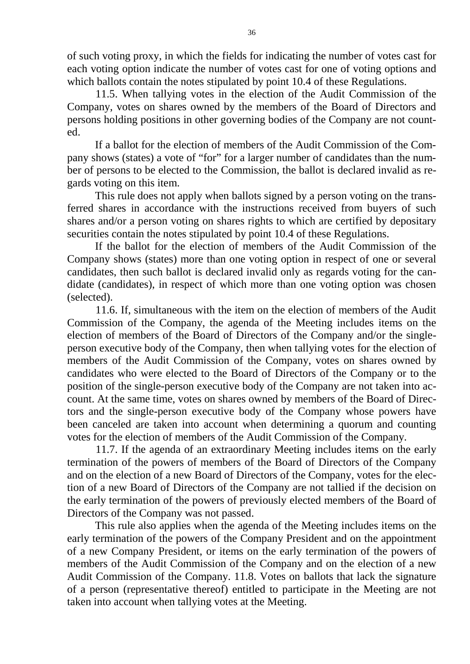of such voting proxy, in which the fields for indicating the number of votes cast for each voting option indicate the number of votes cast for one of voting options and which ballots contain the notes stipulated by [point 10.4](consultantplus://offline/ref=3AF1E0EA91A8A7D974A2F1318BC1842912810902210A0A365EE1844CA02D3403D4D3993EAF818848A8U0M) of these Regulations.

11.5. When tallying votes in the election of the Audit Commission of the Company, votes on shares owned by the members of the Board of Directors and persons holding positions in other governing bodies of the Company are not counted.

If a ballot for the election of members of the Audit Commission of the Company shows (states) a vote of "for" for a larger number of candidates than the number of persons to be elected to the Commission, the ballot is declared invalid as regards voting on this item.

This rule does not apply when ballots signed by a person voting on the transferred shares in accordance with the instructions received from buyers of such shares and/or a person voting on shares rights to which are certified by depositary securities contain the notes stipulated by point 10.4 of these Regulations.

If the ballot for the election of members of the Audit Commission of the Company shows (states) more than one voting option in respect of one or several candidates, then such ballot is declared invalid only as regards voting for the candidate (candidates), in respect of which more than one voting option was chosen (selected).

11.6. If, simultaneous with the item on the election of members of the Audit Commission of the Company, the agenda of the Meeting includes items on the election of members of the Board of Directors of the Company and/or the singleperson executive body of the Company, then when tallying votes for the election of members of the Audit Commission of the Company, votes on shares owned by candidates who were elected to the Board of Directors of the Company or to the position of the single-person executive body of the Company are not taken into account. At the same time, votes on shares owned by members of the Board of Directors and the single-person executive body of the Company whose powers have been canceled are taken into account when determining a quorum and counting votes for the election of members of the Audit Commission of the Company.

11.7. If the agenda of an extraordinary Meeting includes items on the early termination of the powers of members of the Board of Directors of the Company and on the election of a new Board of Directors of the Company, votes for the election of a new Board of Directors of the Company are not tallied if the decision on the early termination of the powers of previously elected members of the Board of Directors of the Company was not passed.

This rule also applies when the agenda of the Meeting includes items on the early termination of the powers of the Company President and on the appointment of a new Company President, or items on the early termination of the powers of members of the Audit Commission of the Company and on the election of a new Audit Commission of the Company. 11.8. Votes on ballots that lack the signature of a person (representative thereof) entitled to participate in the Meeting are not taken into account when tallying votes at the Meeting.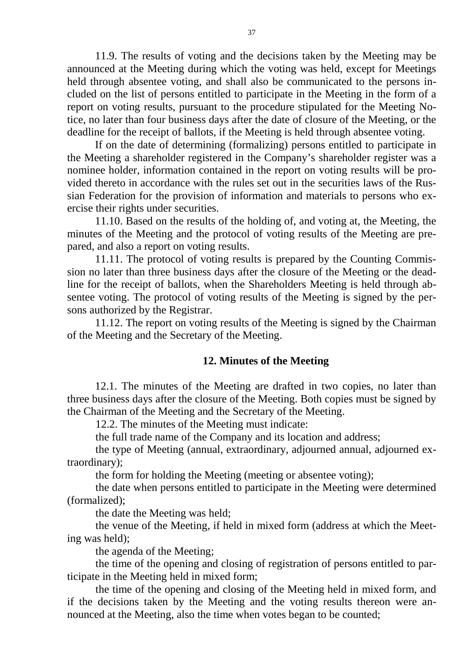11.9. The results of voting and the decisions taken by the Meeting may be announced at the Meeting during which the voting was held, except for Meetings held through absentee voting, and shall also be communicated to the persons included on the list of persons entitled to participate in the Meeting in the form of a report on voting results, pursuant to the procedure stipulated for the Meeting Notice, no later than four business days after the date of closure of the Meeting, or the deadline for the receipt of ballots, if the Meeting is held through absentee voting.

If on the date of determining (formalizing) persons entitled to participate in the Meeting a shareholder registered in the Company's shareholder register was a nominee holder, information contained in the report on voting results will be provided thereto in accordance with the rules set out in the securities laws of the Russian Federation for the provision of information and materials to persons who exercise their rights under securities.

11.10. Based on the results of the holding of, and voting at, the Meeting, the minutes of the Meeting and the protocol of voting results of the Meeting are prepared, and also a report on voting results.

11.11. The protocol of voting results is prepared by the Counting Commission no later than three business days after the closure of the Meeting or the deadline for the receipt of ballots, when the Shareholders Meeting is held through absentee voting. The protocol of voting results of the Meeting is signed by the persons authorized by the Registrar.

11.12. The report on voting results of the Meeting is signed by the Chairman of the Meeting and the Secretary of the Meeting.

### **12. Minutes of the Meeting**

12.1. The minutes of the Meeting are drafted in two copies, no later than three business days after the closure of the Meeting. Both copies must be signed by the Chairman of the Meeting and the Secretary of the Meeting.

12.2. The minutes of the Meeting must indicate:

the full trade name of the Company and its location and address;

the type of Meeting (annual, extraordinary, adjourned annual, adjourned extraordinary);

the form for holding the Meeting (meeting or absentee voting);

the date when persons entitled to participate in the Meeting were determined (formalized);

the date the Meeting was held;

the venue of the Meeting, if held in mixed form (address at which the Meeting was held);

the agenda of the Meeting;

the time of the opening and closing of registration of persons entitled to participate in the Meeting held in mixed form;

the time of the opening and closing of the Meeting held in mixed form, and if the decisions taken by the Meeting and the voting results thereon were announced at the Meeting, also the time when votes began to be counted;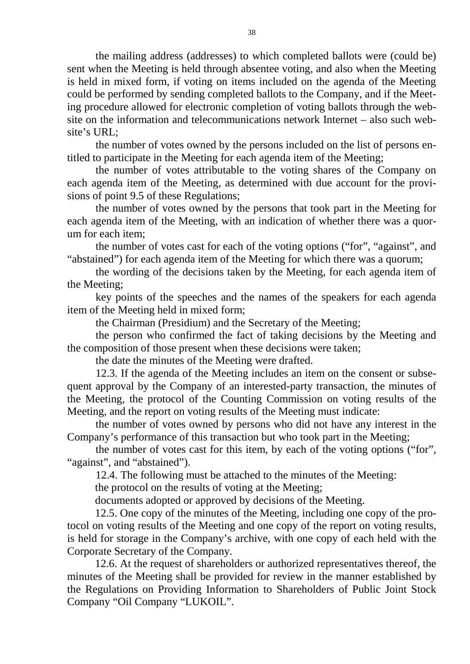the mailing address (addresses) to which completed ballots were (could be) sent when the Meeting is held through absentee voting, and also when the Meeting is held in mixed form, if voting on items included on the agenda of the Meeting could be performed by sending completed ballots to the Company, and if the Meeting procedure allowed for electronic completion of voting ballots through the website on the information and telecommunications network Internet – also such website's URL;

the number of votes owned by the persons included on the list of persons entitled to participate in the Meeting for each agenda item of the Meeting;

the number of votes attributable to the voting shares of the Company on each agenda item of the Meeting, as determined with due account for the provisions of [point 9.5](consultantplus://offline/ref=1B3DECC56D0C9FF112D0A8CB30C8AD52A0232ED3167355F9101D2631F2B4DDBC5BB6D4ADE249632BVAC6F) of these Regulations;

the number of votes owned by the persons that took part in the Meeting for each agenda item of the Meeting, with an indication of whether there was a quorum for each item;

the number of votes cast for each of the voting options ("for", "against", and "abstained") for each agenda item of the Meeting for which there was a quorum;

the wording of the decisions taken by the Meeting, for each agenda item of the Meeting;

key points of the speeches and the names of the speakers for each agenda item of the Meeting held in mixed form;

the Chairman (Presidium) and the Secretary of the Meeting;

the person who confirmed the fact of taking decisions by the Meeting and the composition of those present when these decisions were taken;

the date the minutes of the Meeting were drafted.

12.3. If the agenda of the Meeting includes an item on the consent or subsequent approval by the Company of an interested-party transaction, the minutes of the Meeting, the protocol of the Counting Commission on voting results of the Meeting, and the report on voting results of the Meeting must indicate:

the number of votes owned by persons who did not have any interest in the Company's performance of this transaction but who took part in the Meeting;

the number of votes cast for this item, by each of the voting options ("for", "against", and "abstained").

12.4. The following must be attached to the minutes of the Meeting:

the protocol on the results of voting at the Meeting;

documents adopted or approved by decisions of the Meeting.

12.5. One copy of the minutes of the Meeting, including one copy of the protocol on voting results of the Meeting and one copy of the report on voting results, is held for storage in the Company's archive, with one copy of each held with the Corporate Secretary of the Company.

12.6. At the request of shareholders or authorized representatives thereof, the minutes of the Meeting shall be provided for review in the manner established by the Regulations on Providing Information to Shareholders of Public Joint Stock Company "Oil Company "LUKOIL".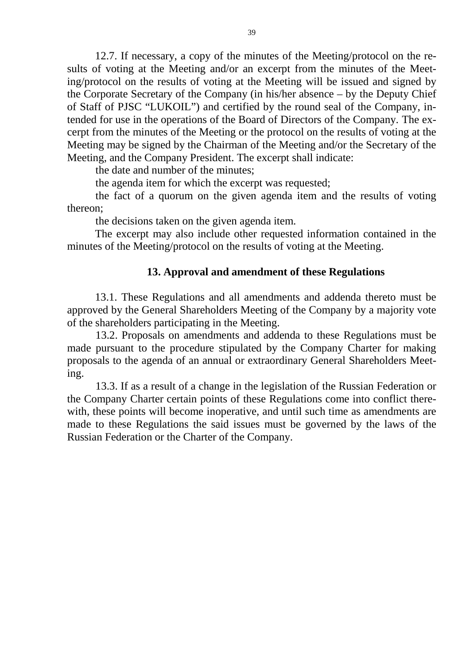12.7. If necessary, a copy of the minutes of the Meeting/protocol on the results of voting at the Meeting and/or an excerpt from the minutes of the Meeting/protocol on the results of voting at the Meeting will be issued and signed by the Corporate Secretary of the Company (in his/her absence – by the Deputy Chief of Staff of PJSC "LUKOIL") and certified by the round seal of the Company, intended for use in the operations of the Board of Directors of the Company. The excerpt from the minutes of the Meeting or the protocol on the results of voting at the Meeting may be signed by the Chairman of the Meeting and/or the Secretary of the Meeting, and the Company President. The excerpt shall indicate:

the date and number of the minutes;

the agenda item for which the excerpt was requested;

the fact of a quorum on the given agenda item and the results of voting thereon;

the decisions taken on the given agenda item.

The excerpt may also include other requested information contained in the minutes of the Meeting/protocol on the results of voting at the Meeting.

### **13. Approval and amendment of these Regulations**

13.1. These Regulations and all amendments and addenda thereto must be approved by the General Shareholders Meeting of the Company by a majority vote of the shareholders participating in the Meeting.

13.2. Proposals on amendments and addenda to these Regulations must be made pursuant to the procedure stipulated by the Company Charter for making proposals to the agenda of an annual or extraordinary General Shareholders Meeting.

13.3. If as a result of a change in the legislation of the Russian Federation or the Company Charter certain points of these Regulations come into conflict therewith, these points will become inoperative, and until such time as amendments are made to these Regulations the said issues must be governed by the laws of the Russian Federation or the Charter of the Company.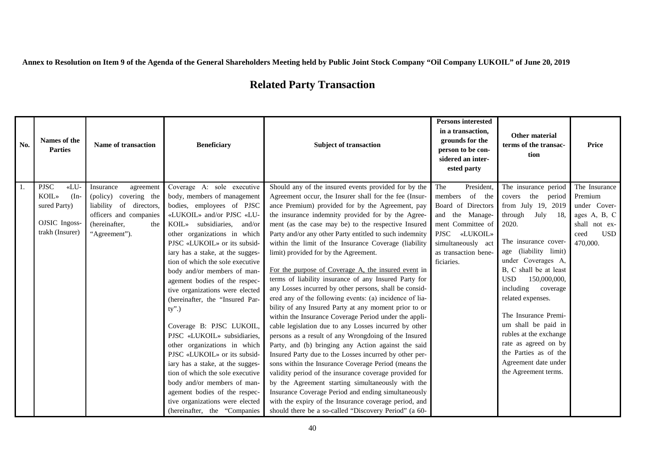**Annex to Resolution on Item 9 of the Agenda of the General Shareholders Meeting held by Public Joint Stock Company "Oil Company LUKOIL" of June 20, 2019** 

# **Related Party Transaction**

| No. | Names of the<br><b>Parties</b> | Name of transaction        | <b>Beneficiary</b>                                               | <b>Subject of transaction</b>                           | <b>Persons interested</b><br>in a transaction,<br>grounds for the<br>person to be con-<br>sidered an inter-<br>ested party | Other material<br>terms of the transac-<br>tion | <b>Price</b>       |
|-----|--------------------------------|----------------------------|------------------------------------------------------------------|---------------------------------------------------------|----------------------------------------------------------------------------------------------------------------------------|-------------------------------------------------|--------------------|
| 1.  | <b>PJSC</b><br>«LU-            | Insurance<br>agreement     | Coverage A: sole executive                                       | Should any of the insured events provided for by the    | President,<br>The                                                                                                          | The insurance period                            | The Insurance      |
|     | <b>KOIL»</b><br>$(In-$         | (policy) covering the      | body, members of management                                      | Agreement occur, the Insurer shall for the fee (Insur-  | of the<br>members                                                                                                          | covers the period                               | Premium            |
|     | sured Party)                   | of directors,<br>liability | bodies, employees of PJSC                                        | ance Premium) provided for by the Agreement, pay        | Board of Directors                                                                                                         | from July 19, 2019                              | under Cover-       |
|     |                                | officers and companies     | «LUKOIL» and/or PJSC «LU-                                        | the insurance indemnity provided for by the Agree-      | and the Manage-                                                                                                            | July<br>through<br>-18.                         | ages A, B, C       |
|     | OJSIC Ingoss-                  | (hereinafter,<br>the       | KOIL» subsidiaries, and/or                                       | ment (as the case may be) to the respective Insured     | ment Committee of                                                                                                          | 2020.                                           | shall not ex-      |
|     | trakh (Insurer)                | "Agreement").              | other organizations in which                                     | Party and/or any other Party entitled to such indemnity | PJSC «LUKOIL»                                                                                                              |                                                 | <b>USD</b><br>ceed |
|     |                                |                            | PJSC «LUKOIL» or its subsid-                                     | within the limit of the Insurance Coverage (liability   | simultaneously act                                                                                                         | The insurance cover-                            | 470,000.           |
|     |                                |                            | iary has a stake, at the sugges-                                 | limit) provided for by the Agreement.                   | as transaction bene-                                                                                                       | age (liability limit)<br>under Coverages A,     |                    |
|     |                                |                            | tion of which the sole executive                                 | For the purpose of Coverage A, the insured event in     | ficiaries.                                                                                                                 | B, C shall be at least                          |                    |
|     |                                |                            | body and/or members of man-                                      | terms of liability insurance of any Insured Party for   |                                                                                                                            | <b>USD</b><br>150,000,000,                      |                    |
|     |                                |                            | agement bodies of the respec-<br>tive organizations were elected | any Losses incurred by other persons, shall be consid-  |                                                                                                                            | including<br>coverage                           |                    |
|     |                                |                            | (hereinafter, the "Insured Par-                                  | ered any of the following events: (a) incidence of lia- |                                                                                                                            | related expenses.                               |                    |
|     |                                |                            | ty".)                                                            | bility of any Insured Party at any moment prior to or   |                                                                                                                            |                                                 |                    |
|     |                                |                            |                                                                  | within the Insurance Coverage Period under the appli-   |                                                                                                                            | The Insurance Premi-                            |                    |
|     |                                |                            | Coverage B: PJSC LUKOIL,                                         | cable legislation due to any Losses incurred by other   |                                                                                                                            | um shall be paid in                             |                    |
|     |                                |                            | PJSC «LUKOIL» subsidiaries,                                      | persons as a result of any Wrongdoing of the Insured    |                                                                                                                            | rubles at the exchange                          |                    |
|     |                                |                            | other organizations in which                                     | Party, and (b) bringing any Action against the said     |                                                                                                                            | rate as agreed on by                            |                    |
|     |                                |                            | PJSC «LUKOIL» or its subsid-                                     | Insured Party due to the Losses incurred by other per-  |                                                                                                                            | the Parties as of the                           |                    |
|     |                                |                            | iary has a stake, at the sugges-                                 | sons within the Insurance Coverage Period (means the    |                                                                                                                            | Agreement date under                            |                    |
|     |                                |                            | tion of which the sole executive                                 | validity period of the insurance coverage provided for  |                                                                                                                            | the Agreement terms.                            |                    |
|     |                                |                            | body and/or members of man-                                      | by the Agreement starting simultaneously with the       |                                                                                                                            |                                                 |                    |
|     |                                |                            | agement bodies of the respec-                                    | Insurance Coverage Period and ending simultaneously     |                                                                                                                            |                                                 |                    |
|     |                                |                            | tive organizations were elected                                  | with the expiry of the Insurance coverage period, and   |                                                                                                                            |                                                 |                    |
|     |                                |                            | (hereinafter, the "Companies                                     | should there be a so-called "Discovery Period" (a 60-   |                                                                                                                            |                                                 |                    |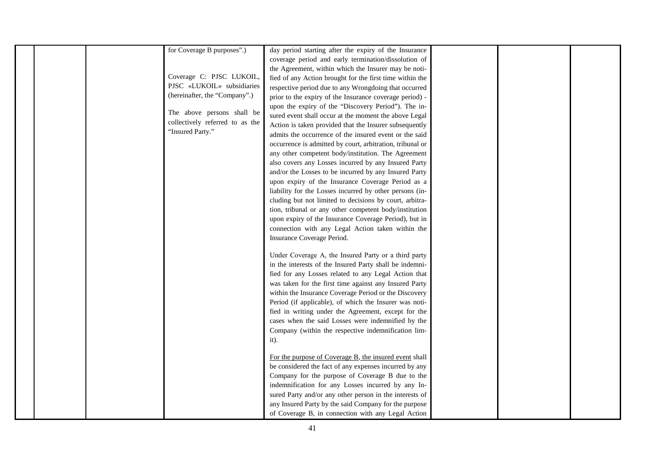|  | for Coverage B purposes".)      | day period starting after the expiry of the Insurance     |  |  |
|--|---------------------------------|-----------------------------------------------------------|--|--|
|  |                                 | coverage period and early termination/dissolution of      |  |  |
|  |                                 | the Agreement, within which the Insurer may be noti-      |  |  |
|  | Coverage C: PJSC LUKOIL,        | fied of any Action brought for the first time within the  |  |  |
|  | PJSC «LUKOIL» subsidiaries      | respective period due to any Wrongdoing that occurred     |  |  |
|  | (hereinafter, the "Company".)   |                                                           |  |  |
|  |                                 | prior to the expiry of the Insurance coverage period) -   |  |  |
|  | The above persons shall be      | upon the expiry of the "Discovery Period"). The in-       |  |  |
|  | collectively referred to as the | sured event shall occur at the moment the above Legal     |  |  |
|  | "Insured Party."                | Action is taken provided that the Insurer subsequently    |  |  |
|  |                                 | admits the occurrence of the insured event or the said    |  |  |
|  |                                 | occurrence is admitted by court, arbitration, tribunal or |  |  |
|  |                                 | any other competent body/institution. The Agreement       |  |  |
|  |                                 | also covers any Losses incurred by any Insured Party      |  |  |
|  |                                 | and/or the Losses to be incurred by any Insured Party     |  |  |
|  |                                 | upon expiry of the Insurance Coverage Period as a         |  |  |
|  |                                 | liability for the Losses incurred by other persons (in-   |  |  |
|  |                                 | cluding but not limited to decisions by court, arbitra-   |  |  |
|  |                                 | tion, tribunal or any other competent body/institution    |  |  |
|  |                                 | upon expiry of the Insurance Coverage Period), but in     |  |  |
|  |                                 | connection with any Legal Action taken within the         |  |  |
|  |                                 | Insurance Coverage Period.                                |  |  |
|  |                                 |                                                           |  |  |
|  |                                 | Under Coverage A, the Insured Party or a third party      |  |  |
|  |                                 | in the interests of the Insured Party shall be indemni-   |  |  |
|  |                                 | fied for any Losses related to any Legal Action that      |  |  |
|  |                                 | was taken for the first time against any Insured Party    |  |  |
|  |                                 | within the Insurance Coverage Period or the Discovery     |  |  |
|  |                                 | Period (if applicable), of which the Insurer was noti-    |  |  |
|  |                                 | fied in writing under the Agreement, except for the       |  |  |
|  |                                 | cases when the said Losses were indemnified by the        |  |  |
|  |                                 | Company (within the respective indemnification lim-       |  |  |
|  |                                 | $it)$ .                                                   |  |  |
|  |                                 |                                                           |  |  |
|  |                                 | For the purpose of Coverage B, the insured event shall    |  |  |
|  |                                 | be considered the fact of any expenses incurred by any    |  |  |
|  |                                 | Company for the purpose of Coverage B due to the          |  |  |
|  |                                 | indemnification for any Losses incurred by any In-        |  |  |
|  |                                 | sured Party and/or any other person in the interests of   |  |  |
|  |                                 | any Insured Party by the said Company for the purpose     |  |  |
|  |                                 | of Coverage B, in connection with any Legal Action        |  |  |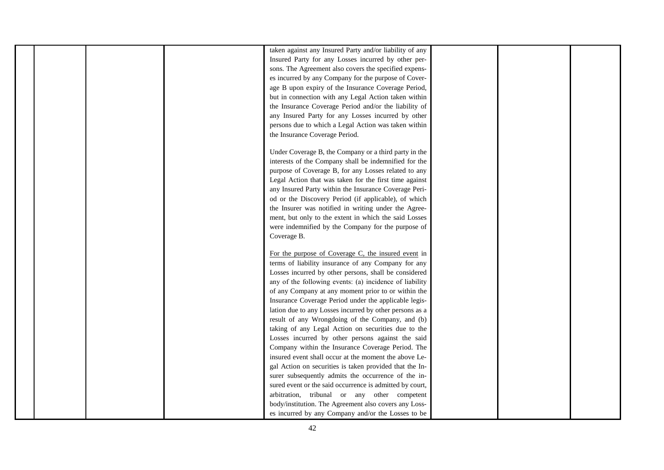|  |  | taken against any Insured Party and/or liability of any  |  |  |
|--|--|----------------------------------------------------------|--|--|
|  |  | Insured Party for any Losses incurred by other per-      |  |  |
|  |  | sons. The Agreement also covers the specified expens-    |  |  |
|  |  | es incurred by any Company for the purpose of Cover-     |  |  |
|  |  | age B upon expiry of the Insurance Coverage Period,      |  |  |
|  |  | but in connection with any Legal Action taken within     |  |  |
|  |  | the Insurance Coverage Period and/or the liability of    |  |  |
|  |  | any Insured Party for any Losses incurred by other       |  |  |
|  |  | persons due to which a Legal Action was taken within     |  |  |
|  |  | the Insurance Coverage Period.                           |  |  |
|  |  | Under Coverage B, the Company or a third party in the    |  |  |
|  |  | interests of the Company shall be indemnified for the    |  |  |
|  |  | purpose of Coverage B, for any Losses related to any     |  |  |
|  |  | Legal Action that was taken for the first time against   |  |  |
|  |  | any Insured Party within the Insurance Coverage Peri-    |  |  |
|  |  | od or the Discovery Period (if applicable), of which     |  |  |
|  |  | the Insurer was notified in writing under the Agree-     |  |  |
|  |  | ment, but only to the extent in which the said Losses    |  |  |
|  |  | were indemnified by the Company for the purpose of       |  |  |
|  |  | Coverage B.                                              |  |  |
|  |  |                                                          |  |  |
|  |  | For the purpose of Coverage C, the insured event in      |  |  |
|  |  | terms of liability insurance of any Company for any      |  |  |
|  |  | Losses incurred by other persons, shall be considered    |  |  |
|  |  | any of the following events: (a) incidence of liability  |  |  |
|  |  | of any Company at any moment prior to or within the      |  |  |
|  |  | Insurance Coverage Period under the applicable legis-    |  |  |
|  |  | lation due to any Losses incurred by other persons as a  |  |  |
|  |  | result of any Wrongdoing of the Company, and (b)         |  |  |
|  |  | taking of any Legal Action on securities due to the      |  |  |
|  |  | Losses incurred by other persons against the said        |  |  |
|  |  | Company within the Insurance Coverage Period. The        |  |  |
|  |  | insured event shall occur at the moment the above Le-    |  |  |
|  |  | gal Action on securities is taken provided that the In-  |  |  |
|  |  | surer subsequently admits the occurrence of the in-      |  |  |
|  |  | sured event or the said occurrence is admitted by court, |  |  |
|  |  | arbitration, tribunal or any other competent             |  |  |
|  |  | body/institution. The Agreement also covers any Loss-    |  |  |
|  |  | es incurred by any Company and/or the Losses to be       |  |  |